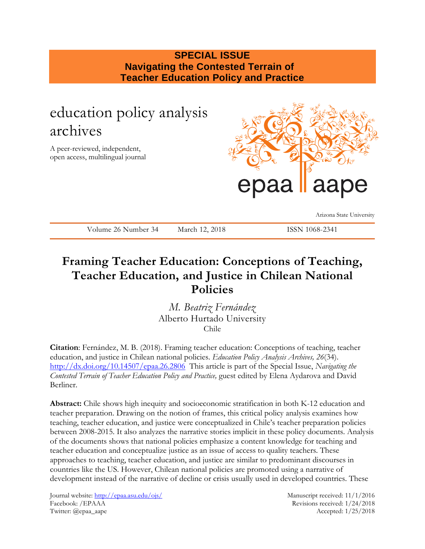### **SPECIAL ISSUE Navigating the Contested Terrain of Teacher Education Policy and Practice**

# education policy analysis archives

A peer-reviewed, independent, open access, multilingual journal



Arizona State University

Volume 26 Number 34 March 12, 2018 ISSN 1068-2341

## **Framing Teacher Education: Conceptions of Teaching, Teacher Education, and Justice in Chilean National Policies**

*M. Beatriz Fernández* Alberto Hurtado University Chile

**Citation**: Fernández, M. B. (2018). Framing teacher education: Conceptions of teaching, teacher education, and justice in Chilean national policies. *Education Policy Analysis Archives, 26*(34). <http://dx.doi.org/10.14507/epaa.26.2806>This article is part of the Special Issue, *Navigating the Contested Terrain of Teacher Education Policy and Practice,* guest edited by Elena Aydarova and David Berliner.

**Abstract:** Chile shows high inequity and socioeconomic stratification in both K-12 education and teacher preparation. Drawing on the notion of frames, this critical policy analysis examines how teaching, teacher education, and justice were conceptualized in Chile's teacher preparation policies between 2008-2015. It also analyzes the narrative stories implicit in these policy documents. Analysis of the documents shows that national policies emphasize a content knowledge for teaching and teacher education and conceptualize justice as an issue of access to quality teachers. These approaches to teaching, teacher education, and justice are similar to predominant discourses in countries like the US. However, Chilean national policies are promoted using a narrative of development instead of the narrative of decline or crisis usually used in developed countries. These

Journal website:<http://epaa.asu.edu/ojs/> Manuscript received: 11/1/2016 Facebook: /EPAAA Revisions received: 1/24/2018 Twitter: @epaa\_aape Accepted: 1/25/2018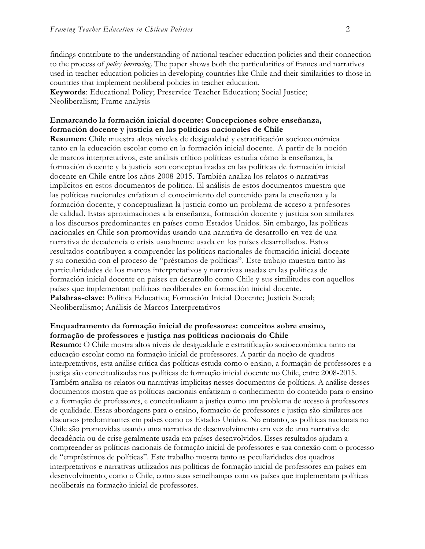findings contribute to the understanding of national teacher education policies and their connection to the process of *policy borrowing*. The paper shows both the particularities of frames and narratives used in teacher education policies in developing countries like Chile and their similarities to those in countries that implement neoliberal policies in teacher education.

**Keywords**: Educational Policy; Preservice Teacher Education; Social Justice; Neoliberalism; Frame analysis

#### **Enmarcando la formación inicial docente: Concepciones sobre enseñanza, formación docente y justicia en las políticas nacionales de Chile**

**Resumen:** Chile muestra altos niveles de desigualdad y estratificación socioeconómica tanto en la educación escolar como en la formación inicial docente. A partir de la noción de marcos interpretativos, este análisis crítico políticas estudia cómo la enseñanza, la formación docente y la justicia son conceptualizadas en las políticas de formación inicial docente en Chile entre los años 2008-2015. También analiza los relatos o narrativas implícitos en estos documentos de política. El análisis de estos documentos muestra que las políticas nacionales enfatizan el conocimiento del contenido para la enseñanza y la formación docente, y conceptualizan la justicia como un problema de acceso a profe sores de calidad. Estas aproximaciones a la enseñanza, formación docente y justicia son similares a los discursos predominantes en países como Estados Unidos. Sin embargo, las políticas nacionales en Chile son promovidas usando una narrativa de desarrollo en vez de una narrativa de decadencia o crisis usualmente usada en los países desarrollados. Estos resultados contribuyen a comprender las políticas nacionales de formación inicial docente y su conexión con el proceso de "préstamos de políticas". Este trabajo muestra tanto las particularidades de los marcos interpretativos y narrativas usadas en las políticas de formación inicial docente en países en desarrollo como Chile y sus similitudes con aquellos países que implementan políticas neoliberales en formación inicial docente. **Palabras-clave:** Política Educativa; Formación Inicial Docente; Justicia Social; Neoliberalismo; Análisis de Marcos Interpretativos

### **Enquadramento da formação inicial de professores: conceitos sobre ensino, formação de professores e justiça nas políticas nacionais do Chile**

**Resumo:** O Chile mostra altos níveis de desigualdade e estratificação socioeconômica tanto na educação escolar como na formação inicial de professores. A partir da noção de quadros interpretativos, esta análise crítica das políticas estuda como o ensino, a formação de professores e a justiça são conceitualizadas nas políticas de formação inicial docente no Chile, entre 2008-2015. Também analisa os relatos ou narrativas implícitas nesses documentos de políticas. A análise desses documentos mostra que as políticas nacionais enfatizam o conhecimento do conteúdo para o ensino e a formação de professores, e conceitualizam a justiça como um problema de acesso à professores de qualidade. Essas abordagens para o ensino, formação de professores e justiça são similares aos discursos predominantes em países como os Estados Unidos. No entanto, as políticas nacionais no Chile são promovidas usando uma narrativa de desenvolvimento em vez de uma narrativa de decadência ou de crise geralmente usada em países desenvolvidos. Esses resultados ajudam a compreender as políticas nacionais de formação inicial de professores e sua conexão com o processo de "empréstimos de políticas". Este trabalho mostra tanto as peculiaridades dos quadros interpretativos e narrativas utilizados nas políticas de formação inicial de professores em países em desenvolvimento, como o Chile, como suas semelhanças com os países que implementam políticas neoliberais na formação inicial de professores.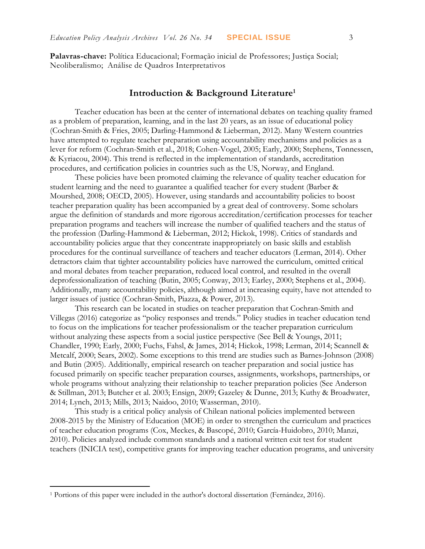**Palavras-chave:** Política Educacional; Formação inicial de Professores; Justiça Social; Neoliberalismo; Análise de Quadros Interpretativos

### **Introduction & Background Literature<sup>1</sup>**

Teacher education has been at the center of international debates on teaching quality framed as a problem of preparation, learning, and in the last 20 years, as an issue of educational policy (Cochran-Smith & Fries, 2005; Darling-Hammond & Lieberman, 2012). Many Western countries have attempted to regulate teacher preparation using accountability mechanisms and policies as a lever for reform (Cochran-Smith et al., 2018; Cohen-Vogel, 2005; Early, 2000; Stephens, Tønnessen, & Kyriacou, 2004). This trend is reflected in the implementation of standards, accreditation procedures, and certification policies in countries such as the US, Norway, and England.

These policies have been promoted claiming the relevance of quality teacher education for student learning and the need to guarantee a qualified teacher for every student (Barber & Mourshed, 2008; OECD, 2005). However, using standards and accountability policies to boost teacher preparation quality has been accompanied by a great deal of controversy. Some scholars argue the definition of standards and more rigorous accreditation/certification processes for teacher preparation programs and teachers will increase the number of qualified teachers and the status of the profession (Darling-Hammond & Lieberman, 2012; Hickok, 1998). Critics of standards and accountability policies argue that they concentrate inappropriately on basic skills and establish procedures for the continual surveillance of teachers and teacher educators (Lerman, 2014). Other detractors claim that tighter accountability policies have narrowed the curriculum, omitted critical and moral debates from teacher preparation, reduced local control, and resulted in the overall deprofessionalization of teaching (Butin, 2005; Conway, 2013; Earley, 2000; Stephens et al., 2004). Additionally, many accountability policies, although aimed at increasing equity, have not attended to larger issues of justice (Cochran-Smith, Piazza, & Power, 2013).

This research can be located in studies on teacher preparation that Cochran-Smith and Villegas (2016) categorize as "policy responses and trends." Policy studies in teacher education tend to focus on the implications for teacher professionalism or the teacher preparation curriculum without analyzing these aspects from a social justice perspective (See Bell & Youngs, 2011; Chandler, 1990; Early, 2000; Fuchs, Fahsl, & James, 2014; Hickok, 1998; Lerman, 2014; Scannell & Metcalf, 2000; Sears, 2002). Some exceptions to this trend are studies such as Barnes-Johnson (2008) and Butin (2005). Additionally, empirical research on teacher preparation and social justice has focused primarily on specific teacher preparation courses, assignments, workshops, partnerships, or whole programs without analyzing their relationship to teacher preparation policies (See Anderson & Stillman, 2013; Butcher et al. 2003; Ensign, 2009; Gazeley & Dunne, 2013; Kuthy & Broadwater, 2014; Lynch, 2013; Mills, 2013; Naidoo, 2010; Wasserman, 2010).

This study is a critical policy analysis of Chilean national policies implemented between 2008-2015 by the Ministry of Education (MOE) in order to strengthen the curriculum and practices of teacher education programs (Cox, Meckes, & Bascopé, 2010; García-Huidobro, 2010; Manzi, 2010). Policies analyzed include common standards and a national written exit test for student teachers (INICIA test), competitive grants for improving teacher education programs, and university

 $\overline{a}$ 

<sup>&</sup>lt;sup>1</sup> Portions of this paper were included in the author's doctoral dissertation (Fernández, 2016).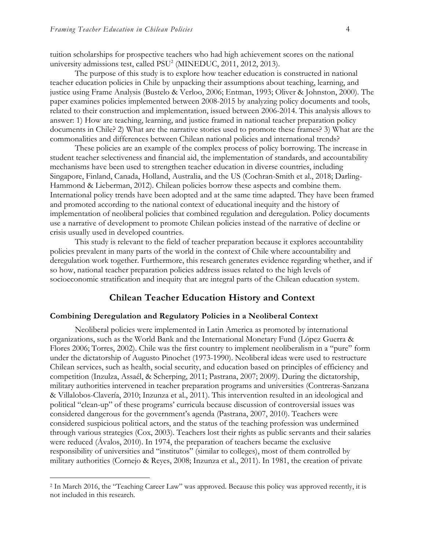tuition scholarships for prospective teachers who had high achievement scores on the national university admissions test, called PSU<sup>2</sup> (MINEDUC, 2011, 2012, 2013).

The purpose of this study is to explore how teacher education is constructed in national teacher education policies in Chile by unpacking their assumptions about teaching, learning, and justice using Frame Analysis (Bustelo & Verloo, 2006; Entman, 1993; Oliver & Johnston, 2000). The paper examines policies implemented between 2008-2015 by analyzing policy documents and tools, related to their construction and implementation, issued between 2006-2014. This analysis allows to answer: 1) How are teaching, learning, and justice framed in national teacher preparation policy documents in Chile? 2) What are the narrative stories used to promote these frames? 3) What are the commonalities and differences between Chilean national policies and international trends?

These policies are an example of the complex process of policy borrowing. The increase in student teacher selectiveness and financial aid, the implementation of standards, and accountability mechanisms have been used to strengthen teacher education in diverse countries, including Singapore, Finland, Canada, Holland, Australia, and the US (Cochran-Smith et al., 2018; Darling-Hammond & Lieberman, 2012). Chilean policies borrow these aspects and combine them. International policy trends have been adopted and at the same time adapted. They have been framed and promoted according to the national context of educational inequity and the history of implementation of neoliberal policies that combined regulation and deregulation. Policy documents use a narrative of development to promote Chilean policies instead of the narrative of decline or crisis usually used in developed countries.

This study is relevant to the field of teacher preparation because it explores accountability policies prevalent in many parts of the world in the context of Chile where accountability and deregulation work together. Furthermore, this research generates evidence regarding whether, and if so how, national teacher preparation policies address issues related to the high levels of socioeconomic stratification and inequity that are integral parts of the Chilean education system.

#### **Chilean Teacher Education History and Context**

#### **Combining Deregulation and Regulatory Policies in a Neoliberal Context**

Neoliberal policies were implemented in Latin America as promoted by international organizations, such as the World Bank and the International Monetary Fund (López Guerra & Flores 2006; Torres, 2002). Chile was the first country to implement neoliberalism in a "pure" form under the dictatorship of Augusto Pinochet (1973-1990). Neoliberal ideas were used to restructure Chilean services, such as health, social security, and education based on principles of efficiency and competition (Inzulza, Assaél, & Scherping, 2011; Pastrana, 2007; 2009). During the dictatorship, military authorities intervened in teacher preparation programs and universities (Contreras-Sanzana & Villalobos-Clavería, 2010; Inzunza et al., 2011). This intervention resulted in an ideological and political "clean-up" of these programs' curricula because discussion of controversial issues was considered dangerous for the government's agenda (Pastrana, 2007, 2010). Teachers were considered suspicious political actors, and the status of the teaching profession was undermined through various strategies (Cox, 2003). Teachers lost their rights as public servants and their salaries were reduced (Ávalos, 2010). In 1974, the preparation of teachers became the exclusive responsibility of universities and "institutos" (similar to colleges), most of them controlled by military authorities (Cornejo & Reyes, 2008; Inzunza et al., 2011). In 1981, the creation of private

<sup>2</sup> In March 2016, the "Teaching Career Law" was approved. Because this policy was approved recently, it is not included in this research.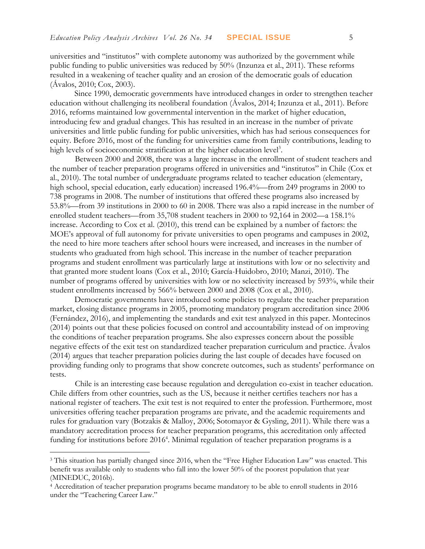universities and "institutos" with complete autonomy was authorized by the government while public funding to public universities was reduced by 50% (Inzunza et al., 2011). These reforms resulted in a weakening of teacher quality and an erosion of the democratic goals of education (Ávalos, 2010; Cox, 2003).

Since 1990, democratic governments have introduced changes in order to strengthen teacher education without challenging its neoliberal foundation (Ávalos, 2014; Inzunza et al., 2011). Before 2016, reforms maintained low governmental intervention in the market of higher education, introducing few and gradual changes. This has resulted in an increase in the number of private universities and little public funding for public universities, which has had serious consequences for equity. Before 2016, most of the funding for universities came from family contributions, leading to high levels of socioeconomic stratification at the higher education level<sup>3</sup>.

Between 2000 and 2008, there was a large increase in the enrollment of student teachers and the number of teacher preparation programs offered in universities and "institutos" in Chile (Cox et al., 2010). The total number of undergraduate programs related to teacher education (elementary, high school, special education, early education) increased 196.4%—from 249 programs in 2000 to 738 programs in 2008. The number of institutions that offered these programs also increased by 53.8%—from 39 institutions in 2000 to 60 in 2008. There was also a rapid increase in the number of enrolled student teachers—from 35,708 student teachers in 2000 to 92,164 in 2002—a 158.1% increase. According to Cox et al. (2010), this trend can be explained by a number of factors: the MOE's approval of full autonomy for private universities to open programs and campuses in 2002, the need to hire more teachers after school hours were increased, and increases in the number of students who graduated from high school. This increase in the number of teacher preparation programs and student enrollment was particularly large at institutions with low or no selectivity and that granted more student loans (Cox et al., 2010; García-Huidobro, 2010; Manzi, 2010). The number of programs offered by universities with low or no selectivity increased by 593%, while their student enrollments increased by 566% between 2000 and 2008 (Cox et al., 2010).

Democratic governments have introduced some policies to regulate the teacher preparation market, closing distance programs in 2005, promoting mandatory program accreditation since 2006 (Fernández, 2016), and implementing the standards and exit test analyzed in this paper. Montecinos (2014) points out that these policies focused on control and accountability instead of on improving the conditions of teacher preparation programs. She also expresses concern about the possible negative effects of the exit test on standardized teacher preparation curriculum and practice. Ávalos (2014) argues that teacher preparation policies during the last couple of decades have focused on providing funding only to programs that show concrete outcomes, such as students' performance on tests.

Chile is an interesting case because regulation and deregulation co-exist in teacher education. Chile differs from other countries, such as the US, because it neither certifies teachers nor has a national register of teachers. The exit test is not required to enter the profession. Furthermore, most universities offering teacher preparation programs are private, and the academic requirements and rules for graduation vary (Botzakis & Malloy, 2006; Sotomayor & Gysling, 2011). While there was a mandatory accreditation process for teacher preparation programs, this accreditation only affected funding for institutions before 2016<sup>4</sup>. Minimal regulation of teacher preparation programs is a

<sup>&</sup>lt;sup>3</sup> This situation has partially changed since 2016, when the "Free Higher Education Law" was enacted. This benefit was available only to students who fall into the lower 50% of the poorest population that year (MINEDUC, 2016b).

<sup>4</sup> Accreditation of teacher preparation programs became mandatory to be able to enroll students in 2016 under the "Teachering Career Law."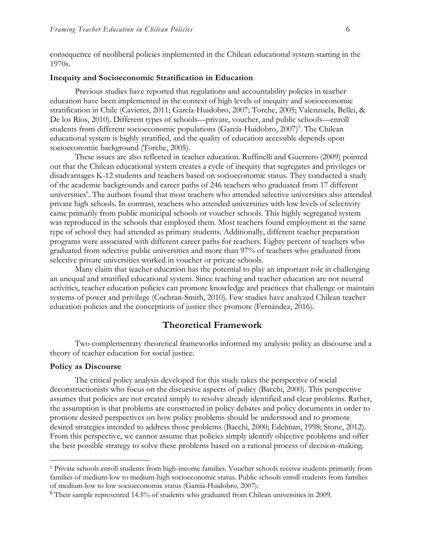consequence of neoliberal policies implemented in the Chilean educational system starting in the 1970s.

#### **Inequity and Socioeconomic Stratification in Education**

Previous studies have reported that regulations and accountability policies in teacher education have been implemented in the context of high levels of inequity and socioeconomic stratification in Chile (Cavieres, 2011; García-Huidobro, 2007; Torche, 2005; Valenzuela, Bellei, & De los Ríos, 2010). Different types of schools—private, voucher, and public schools—enroll students from different socioeconomic populations (García-Huidobro, 2007)<sup>5</sup>. The Chilean educational system is highly stratified, and the quality of education accessible depends upon socioeconomic background (Torche, 2005).

These issues are also reflected in teacher education. Ruffinelli and Guerrero (2009) pointed out that the Chilean educational system creates a cycle of inequity that segregates and privileges or disadvantages K-12 students and teachers based on socioeconomic status. They conducted a study of the academic backgrounds and career paths of 246 teachers who graduated from 17 different universities<sup>6</sup>. The authors found that most teachers who attended selective universities also attended private high schools. In contrast, teachers who attended universities with low levels of selectivity came primarily from public municipal schools or voucher schools. This highly segregated system was reproduced in the schools that employed them. Most teachers found employment in the same type of school they had attended as primary students. Additionally, different teacher preparation programs were associated with different career paths for teachers. Eighty percent of teachers who graduated from selective public universities and more than 97% of teachers who graduated from selective private universities worked in voucher or private schools.

Many claim that teacher education has the potential to play an important role in challenging an unequal and stratified educational system. Since teaching and teacher education are not neutral activities, teacher education policies can promote knowledge and practices that challenge or maintain systems of power and privilege (Cochran-Smith, 2010). Few studies have analyzed Chilean teacher education policies and the conceptions of justice they promote (Fernández, 2016).

### **Theoretical Framework**

Two complementary theoretical frameworks informed my analysis: policy as discourse and a theory of teacher education for social justice.

#### **Policy as Discourse**

The critical policy analysis developed for this study takes the perspective of social deconstructionists who focus on the discursive aspects of policy (Bacchi, 2000). This perspective assumes that policies are not created simply to resolve already identified and clear problems. Rather, the assumption is that problems are constructed in policy debates and policy documents in order to promote desired perspectives on how policy problems should be understood and to promote desired strategies intended to address those problems (Bacchi, 2000; Edelman, 1998; Stone, 2012). From this perspective, we cannot assume that policies simply identify objective problems and offer the best possible strategy to solve these problems based on a rational process of decision-making.

<sup>5</sup> Private schools enroll students from high-income families. Voucher schools receive students primarily from families of medium-low to medium-high socioeconomic status. Public schools enroll students from families of medium-low to low socioeconomic status (García-Huidobro, 2007).

<sup>6</sup> Their sample represented 14.5% of students who graduated from Chilean universities in 2009.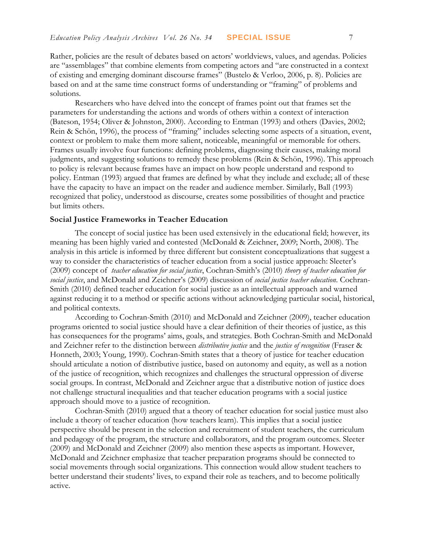Rather, policies are the result of debates based on actors' worldviews, values, and agendas. Policies are "assemblages" that combine elements from competing actors and "are constructed in a context of existing and emerging dominant discourse frames" (Bustelo & Verloo, 2006, p. 8). Policies are based on and at the same time construct forms of understanding or "framing" of problems and solutions.

Researchers who have delved into the concept of frames point out that frames set the parameters for understanding the actions and words of others within a context of interaction (Bateson, 1954; Oliver & Johnston, 2000). According to Entman (1993) and others (Davies, 2002; Rein & Schön, 1996), the process of "framing" includes selecting some aspects of a situation, event, context or problem to make them more salient, noticeable, meaningful or memorable for others. Frames usually involve four functions: defining problems, diagnosing their causes, making moral judgments, and suggesting solutions to remedy these problems (Rein & Schön, 1996). This approach to policy is relevant because frames have an impact on how people understand and respond to policy. Entman (1993) argued that frames are defined by what they include and exclude; all of these have the capacity to have an impact on the reader and audience member. Similarly, Ball (1993) recognized that policy, understood as discourse, creates some possibilities of thought and practice but limits others.

#### **Social Justice Frameworks in Teacher Education**

The concept of social justice has been used extensively in the educational field; however, its meaning has been highly varied and contested (McDonald & Zeichner, 2009; North, 2008). The analysis in this article is informed by three different but consistent conceptualizations that suggest a way to consider the characteristics of teacher education from a social justice approach: Sleeter's (2009) concept of *teacher education for social justice*, Cochran-Smith's (2010) *theory of teacher education for social justice*, and McDonald and Zeichner's (2009) discussion of *social justice teacher education*. Cochran-Smith (2010) defined teacher education for social justice as an intellectual approach and warned against reducing it to a method or specific actions without acknowledging particular social, historical, and political contexts.

According to Cochran-Smith (2010) and McDonald and Zeichner (2009), teacher education programs oriented to social justice should have a clear definition of their theories of justice, as this has consequences for the programs' aims, goals, and strategies. Both Cochran-Smith and McDonald and Zeichner refer to the distinction between *distributive justice* and the *justice of recognition* (Fraser & Honneth, 2003; Young, 1990). Cochran-Smith states that a theory of justice for teacher education should articulate a notion of distributive justice, based on autonomy and equity, as well as a notion of the justice of recognition, which recognizes and challenges the structural oppression of diverse social groups. In contrast, McDonald and Zeichner argue that a distributive notion of justice does not challenge structural inequalities and that teacher education programs with a social justice approach should move to a justice of recognition.

Cochran-Smith (2010) argued that a theory of teacher education for social justice must also include a theory of teacher education (how teachers learn). This implies that a social justice perspective should be present in the selection and recruitment of student teachers, the curriculum and pedagogy of the program, the structure and collaborators, and the program outcomes. Sleeter (2009) and McDonald and Zeichner (2009) also mention these aspects as important. However, McDonald and Zeichner emphasize that teacher preparation programs should be connected to social movements through social organizations. This connection would allow student teachers to better understand their students' lives, to expand their role as teachers, and to become politically active.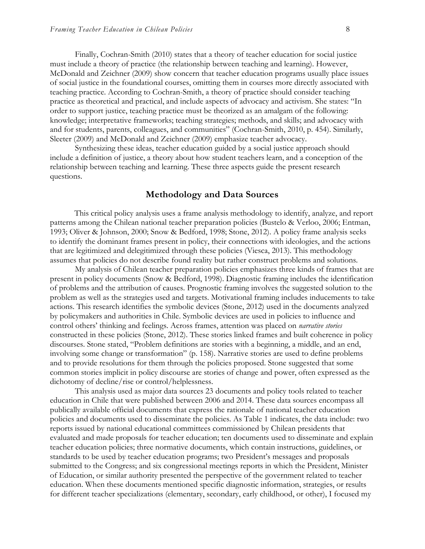Finally, Cochran-Smith (2010) states that a theory of teacher education for social justice must include a theory of practice (the relationship between teaching and learning). However, McDonald and Zeichner (2009) show concern that teacher education programs usually place issues of social justice in the foundational courses, omitting them in courses more directly associated with teaching practice. According to Cochran-Smith, a theory of practice should consider teaching practice as theoretical and practical, and include aspects of advocacy and activism. She states: "In order to support justice, teaching practice must be theorized as an amalgam of the following: knowledge; interpretative frameworks; teaching strategies; methods, and skills; and advocacy with and for students, parents, colleagues, and communities" (Cochran-Smith, 2010, p. 454). Similarly, Sleeter (2009) and McDonald and Zeichner (2009) emphasize teacher advocacy.

Synthesizing these ideas, teacher education guided by a social justice approach should include a definition of justice, a theory about how student teachers learn, and a conception of the relationship between teaching and learning. These three aspects guide the present research questions.

### **Methodology and Data Sources**

This critical policy analysis uses a frame analysis methodology to identify, analyze, and report patterns among the Chilean national teacher preparation policies (Bustelo & Verloo, 2006; Entman, 1993; Oliver & Johnson, 2000; Snow & Bedford, 1998; Stone, 2012). A policy frame analysis seeks to identify the dominant frames present in policy, their connections with ideologies, and the actions that are legitimized and delegitimized through these policies (Viesca, 2013). This methodology assumes that policies do not describe found reality but rather construct problems and solutions.

My analysis of Chilean teacher preparation policies emphasizes three kinds of frames that are present in policy documents (Snow & Bedford, 1998). Diagnostic framing includes the identification of problems and the attribution of causes. Prognostic framing involves the suggested solution to the problem as well as the strategies used and targets. Motivational framing includes inducements to take actions. This research identifies the symbolic devices (Stone, 2012) used in the documents analyzed by policymakers and authorities in Chile. Symbolic devices are used in policies to influence and control others' thinking and feelings. Across frames, attention was placed on *narrative stories* constructed in these policies (Stone, 2012). These stories linked frames and built coherence in policy discourses. Stone stated, "Problem definitions are stories with a beginning, a middle, and an end, involving some change or transformation" (p. 158). Narrative stories are used to define problems and to provide resolutions for them through the policies proposed. Stone suggested that some common stories implicit in policy discourse are stories of change and power, often expressed as the dichotomy of decline/rise or control/helplessness.

This analysis used as major data sources 23 documents and policy tools related to teacher education in Chile that were published between 2006 and 2014. These data sources encompass all publically available official documents that express the rationale of national teacher education policies and documents used to disseminate the policies. As Table 1 indicates, the data include: two reports issued by national educational committees commissioned by Chilean presidents that evaluated and made proposals for teacher education; ten documents used to disseminate and explain teacher education policies; three normative documents, which contain instructions, guidelines, or standards to be used by teacher education programs; two President's messages and proposals submitted to the Congress; and six congressional meetings reports in which the President, Minister of Education, or similar authority presented the perspective of the government related to teacher education. When these documents mentioned specific diagnostic information, strategies, or results for different teacher specializations (elementary, secondary, early childhood, or other), I focused my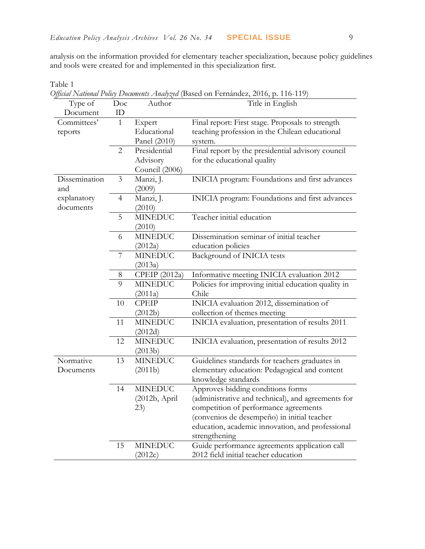analysis on the information provided for elementary teacher specialization, because policy guidelines and tools were created for and implemented in this specialization first.

*Official National Policy Documents Analyzed* (Based on Fernández, 2016, p. 116-119) Type of Document Doc ID Author Title in English Committees' reports 1 Expert Educational Panel (2010) Final report: First stage. Proposals to strength teaching profession in the Chilean educational system. 2 Presidential Advisory Council (2006) Final report by the presidential advisory council for the educational quality Dissemination and explanatory documents 3 Manzi, J. (2009) INICIA program: Foundations and first advances 4 Manzi, J. (2010) INICIA program: Foundations and first advances 5 MINEDUC (2010) Teacher initial education 6 MINEDUC (2012a) Dissemination seminar of initial teacher education policies 7 MINEDUC (2013a) Background of INICIA tests 8 CPEIP (2012a) Informative meeting INICIA evaluation 2012 9 MINEDUC (2011a) Policies for improving initial education quality in Chile 10 CPEIP (2012b) INICIA evaluation 2012, dissemination of collection of themes meeting 11 MINEDUC (2012d) INICIA evaluation, presentation of results 2011 12 MINEDUC (2013b) INICIA evaluation, presentation of results 2012 Normative Documents 13 MINEDUC (2011b) Guidelines standards for teachers graduates in elementary education: Pedagogical and content knowledge standards 14 MINEDUC (2012b, April 23) Approves bidding conditions forms (administrative and technical), and agreements for competition of performance agreements (convenios de desempeño) in initial teacher education, academic innovation, and professional strengthening 15 MINEDUC (2012c) Guide performance agreements application call 2012 field initial teacher education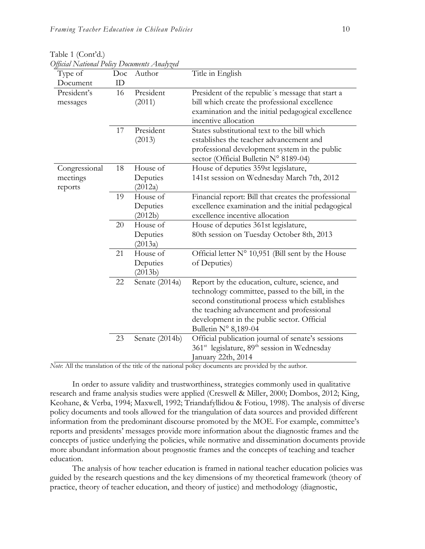| $\sim$<br>Type of | Doc | Author              | Title in English                                                                                           |
|-------------------|-----|---------------------|------------------------------------------------------------------------------------------------------------|
| Document          | ID  |                     |                                                                                                            |
| President's       | 16  | President           | President of the republic's message that start a                                                           |
| messages          |     | (2011)              | bill which create the professional excellence                                                              |
|                   |     |                     | examination and the initial pedagogical excellence                                                         |
|                   |     |                     | incentive allocation                                                                                       |
|                   | 17  | President           | States substitutional text to the bill which                                                               |
|                   |     | (2013)              | establishes the teacher advancement and                                                                    |
|                   |     |                     | professional development system in the public                                                              |
|                   |     |                     | sector (Official Bulletin N° 8189-04)                                                                      |
| Congressional     | 18  | House of            | House of deputies 359st legislature,                                                                       |
| meetings          |     | Deputies            | 141st session on Wednesday March 7th, 2012                                                                 |
| reports           | 19  | (2012a)<br>House of |                                                                                                            |
|                   |     | Deputies            | Financial report: Bill that creates the professional<br>excellence examination and the initial pedagogical |
|                   |     | (2012b)             | excellence incentive allocation                                                                            |
|                   | 20  | House of            | House of deputies 361st legislature,                                                                       |
|                   |     | Deputies            | 80th session on Tuesday October 8th, 2013                                                                  |
|                   |     | (2013a)             |                                                                                                            |
|                   | 21  | House of            | Official letter $N^{\circ}$ 10,951 (Bill sent by the House                                                 |
|                   |     | Deputies            | of Deputies)                                                                                               |
|                   |     | (2013b)             |                                                                                                            |
|                   | 22  | Senate (2014a)      | Report by the education, culture, science, and                                                             |
|                   |     |                     | technology committee, passed to the bill, in the                                                           |
|                   |     |                     | second constitutional process which establishes                                                            |
|                   |     |                     | the teaching advancement and professional                                                                  |
|                   |     |                     | development in the public sector. Official                                                                 |
|                   |     |                     | Bulletin Nº 8,189-04                                                                                       |
|                   | 23  | Senate (2014b)      | Official publication journal of senate's sessions                                                          |
|                   |     |                     | 361 <sup>st</sup> legislature, 89 <sup>th</sup> session in Wednesday                                       |
|                   |     |                     | anuary 22th, 2014                                                                                          |

Table 1 (Cont'd.) *Official National Policy Documents Analyzed*

*Note*: All the translation of the title of the national policy documents are provided by the author.

In order to assure validity and trustworthiness, strategies commonly used in qualitative research and frame analysis studies were applied (Creswell & Miller, 2000; Dombos, 2012; King, Keohane, & Verba, 1994; Maxwell, 1992; Triandafyllidou & Fotiou, 1998). The analysis of diverse policy documents and tools allowed for the triangulation of data sources and provided different information from the predominant discourse promoted by the MOE. For example, committee's reports and presidents' messages provide more information about the diagnostic frames and the concepts of justice underlying the policies, while normative and dissemination documents provide more abundant information about prognostic frames and the concepts of teaching and teacher education.

The analysis of how teacher education is framed in national teacher education policies was guided by the research questions and the key dimensions of my theoretical framework (theory of practice, theory of teacher education, and theory of justice) and methodology (diagnostic,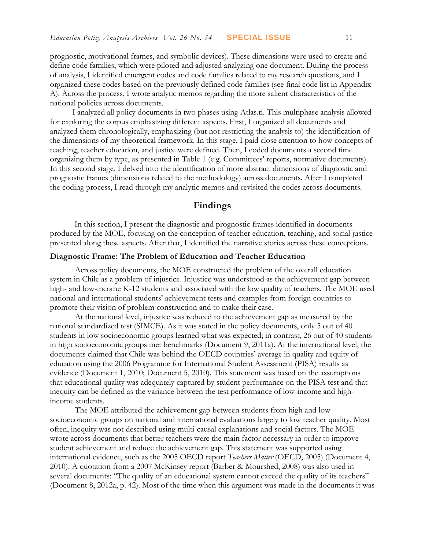prognostic, motivational frames, and symbolic devices). These dimensions were used to create and define code families, which were piloted and adjusted analyzing one document. During the process of analysis, I identified emergent codes and code families related to my research questions, and I organized these codes based on the previously defined code families (see final code list in Appendix A). Across the process, I wrote analytic memos regarding the more salient characteristics of the national policies across documents.

I analyzed all policy documents in two phases using Atlas.ti. This multiphase analysis allowed for exploring the corpus emphasizing different aspects. First, I organized all documents and analyzed them chronologically, emphasizing (but not restricting the analysis to) the identification of the dimensions of my theoretical framework. In this stage, I paid close attention to how concepts of teaching, teacher education, and justice were defined. Then, I coded documents a second time organizing them by type, as presented in Table 1 (e.g. Committees' reports, normative documents). In this second stage, I delved into the identification of more abstract dimensions of diagnostic and prognostic frames (dimensions related to the methodology) across documents. After I completed the coding process, I read through my analytic memos and revisited the codes across documents.

### **Findings**

In this section, I present the diagnostic and prognostic frames identified in documents produced by the MOE, focusing on the conception of teacher education, teaching, and social justice presented along these aspects. After that, I identified the narrative stories across these conceptions.

#### **Diagnostic Frame: The Problem of Education and Teacher Education**

Across policy documents, the MOE constructed the problem of the overall education system in Chile as a problem of injustice. Injustice was understood as the achievement gap between high- and low-income K-12 students and associated with the low quality of teachers. The MOE used national and international students' achievement tests and examples from foreign countries to promote their vision of problem construction and to make their case.

At the national level, injustice was reduced to the achievement gap as measured by the national standardized test (SIMCE). As it was stated in the policy documents, only 5 out of 40 students in low socioeconomic groups learned what was expected; in contrast, 26 out of 40 students in high socioeconomic groups met benchmarks (Document 9, 2011a). At the international level, the documents claimed that Chile was behind the OECD countries' average in quality and equity of education using the 2006 Programme for International Student Assessment (PISA) results as evidence (Document 1, 2010; Document 5, 2010). This statement was based on the assumptions that educational quality was adequately captured by student performance on the PISA test and that inequity can be defined as the variance between the test performance of low-income and highincome students.

The MOE attributed the achievement gap between students from high and low socioeconomic groups on national and international evaluations largely to low teacher quality. Most often, inequity was not described using multi-causal explanations and social factors. The MOE wrote across documents that better teachers were the main factor necessary in order to improve student achievement and reduce the achievement gap. This statement was supported using international evidence, such as the 2005 OECD report *Teachers Matter* (OECD, 2005) (Document 4, 2010). A quotation from a 2007 McKinsey report (Barber & Mourshed, 2008) was also used in several documents: "The quality of an educational system cannot exceed the quality of its teachers" (Document 8, 2012a, p. 42). Most of the time when this argument was made in the documents it was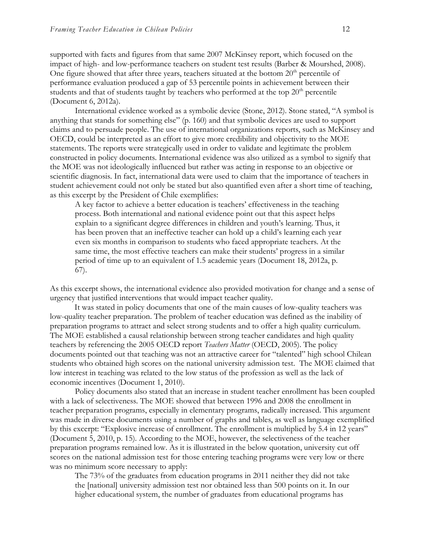supported with facts and figures from that same 2007 McKinsey report, which focused on the impact of high- and low-performance teachers on student test results (Barber & Mourshed, 2008). One figure showed that after three years, teachers situated at the bottom  $20<sup>th</sup>$  percentile of performance evaluation produced a gap of 53 percentile points in achievement between their students and that of students taught by teachers who performed at the top  $20<sup>th</sup>$  percentile (Document 6, 2012a).

International evidence worked as a symbolic device (Stone, 2012). Stone stated, "A symbol is anything that stands for something else" (p. 160) and that symbolic devices are used to support claims and to persuade people. The use of international organizations reports, such as McKinsey and OECD, could be interpreted as an effort to give more credibility and objectivity to the MOE statements. The reports were strategically used in order to validate and legitimate the problem constructed in policy documents. International evidence was also utilized as a symbol to signify that the MOE was not ideologically influenced but rather was acting in response to an objective or scientific diagnosis. In fact, international data were used to claim that the importance of teachers in student achievement could not only be stated but also quantified even after a short time of teaching, as this excerpt by the President of Chile exemplifies:

A key factor to achieve a better education is teachers' effectiveness in the teaching process. Both international and national evidence point out that this aspect helps explain to a significant degree differences in children and youth's learning. Thus, it has been proven that an ineffective teacher can hold up a child's learning each year even six months in comparison to students who faced appropriate teachers. At the same time, the most effective teachers can make their students' progress in a similar period of time up to an equivalent of 1.5 academic years (Document 18, 2012a, p. 67).

As this excerpt shows, the international evidence also provided motivation for change and a sense of urgency that justified interventions that would impact teacher quality.

It was stated in policy documents that one of the main causes of low-quality teachers was low-quality teacher preparation. The problem of teacher education was defined as the inability of preparation programs to attract and select strong students and to offer a high quality curriculum. The MOE established a causal relationship between strong teacher candidates and high quality teachers by referencing the 2005 OECD report *Teachers Matter* (OECD, 2005). The policy documents pointed out that teaching was not an attractive career for "talented" high school Chilean students who obtained high scores on the national university admission test. The MOE claimed that low interest in teaching was related to the low status of the profession as well as the lack of economic incentives (Document 1, 2010).

Policy documents also stated that an increase in student teacher enrollment has been coupled with a lack of selectiveness. The MOE showed that between 1996 and 2008 the enrollment in teacher preparation programs, especially in elementary programs, radically increased. This argument was made in diverse documents using a number of graphs and tables, as well as language exemplified by this excerpt: "Explosive increase of enrollment. The enrollment is multiplied by 5.4 in 12 years" (Document 5, 2010, p. 15). According to the MOE, however, the selectiveness of the teacher preparation programs remained low. As it is illustrated in the below quotation, university cut off scores on the national admission test for those entering teaching programs were very low or there was no minimum score necessary to apply:

The 73% of the graduates from education programs in 2011 neither they did not take the [national] university admission test nor obtained less than 500 points on it. In our higher educational system, the number of graduates from educational programs has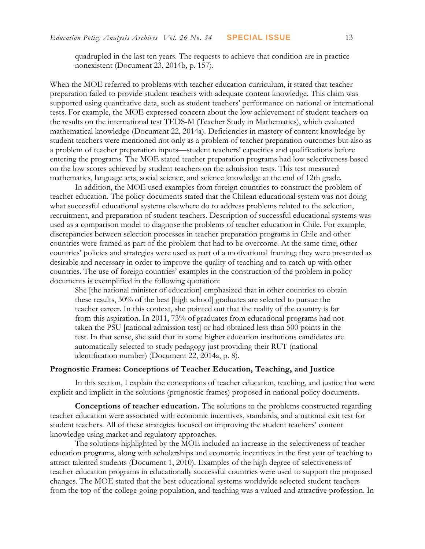quadrupled in the last ten years. The requests to achieve that condition are in practice nonexistent (Document 23, 2014b, p. 157).

When the MOE referred to problems with teacher education curriculum, it stated that teacher preparation failed to provide student teachers with adequate content knowledge. This claim was supported using quantitative data, such as student teachers' performance on national or international tests. For example, the MOE expressed concern about the low achievement of student teachers on the results on the international test TEDS-M (Teacher Study in Mathematics), which evaluated mathematical knowledge (Document 22, 2014a). Deficiencies in mastery of content knowledge by student teachers were mentioned not only as a problem of teacher preparation outcomes but also as a problem of teacher preparation inputs—student teachers' capacities and qualifications before entering the programs. The MOE stated teacher preparation programs had low selectiveness based on the low scores achieved by student teachers on the admission tests. This test measured mathematics, language arts, social science, and science knowledge at the end of 12th grade.

In addition, the MOE used examples from foreign countries to construct the problem of teacher education. The policy documents stated that the Chilean educational system was not doing what successful educational systems elsewhere do to address problems related to the selection, recruitment, and preparation of student teachers. Description of successful educational systems was used as a comparison model to diagnose the problems of teacher education in Chile. For example, discrepancies between selection processes in teacher preparation programs in Chile and other countries were framed as part of the problem that had to be overcome. At the same time, other countries' policies and strategies were used as part of a motivational framing; they were presented as desirable and necessary in order to improve the quality of teaching and to catch up with other countries. The use of foreign countries' examples in the construction of the problem in policy documents is exemplified in the following quotation:

She [the national minister of education] emphasized that in other countries to obtain these results, 30% of the best [high school] graduates are selected to pursue the teacher career. In this context, she pointed out that the reality of the country is far from this aspiration. In 2011, 73% of graduates from educational programs had not taken the PSU [national admission test] or had obtained less than 500 points in the test. In that sense, she said that in some higher education institutions candidates are automatically selected to study pedagogy just providing their RUT (national identification number) (Document 22, 2014a, p. 8).

#### **Prognostic Frames: Conceptions of Teacher Education, Teaching, and Justice**

In this section, I explain the conceptions of teacher education, teaching, and justice that were explicit and implicit in the solutions (prognostic frames) proposed in national policy documents.

**Conceptions of teacher education.** The solutions to the problems constructed regarding teacher education were associated with economic incentives, standards, and a national exit test for student teachers. All of these strategies focused on improving the student teachers' content knowledge using market and regulatory approaches.

The solutions highlighted by the MOE included an increase in the selectiveness of teacher education programs, along with scholarships and economic incentives in the first year of teaching to attract talented students (Document 1, 2010). Examples of the high degree of selectiveness of teacher education programs in educationally successful countries were used to support the proposed changes. The MOE stated that the best educational systems worldwide selected student teachers from the top of the college-going population, and teaching was a valued and attractive profession. In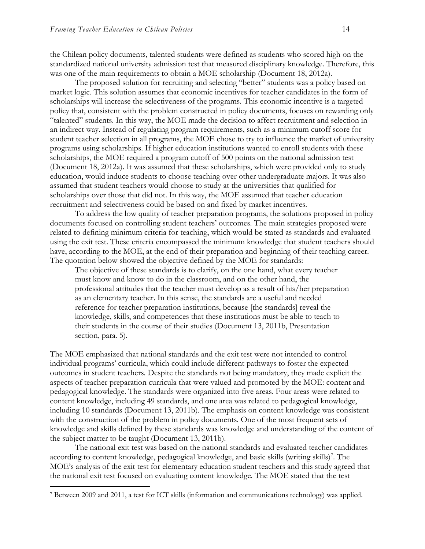the Chilean policy documents, talented students were defined as students who scored high on the standardized national university admission test that measured disciplinary knowledge. Therefore, this was one of the main requirements to obtain a MOE scholarship (Document 18, 2012a).

The proposed solution for recruiting and selecting "better" students was a policy based on market logic. This solution assumes that economic incentives for teacher candidates in the form of scholarships will increase the selectiveness of the programs. This economic incentive is a targeted policy that, consistent with the problem constructed in policy documents, focuses on rewarding only "talented" students. In this way, the MOE made the decision to affect recruitment and selection in an indirect way. Instead of regulating program requirements, such as a minimum cutoff score for student teacher selection in all programs, the MOE chose to try to influence the market of university programs using scholarships. If higher education institutions wanted to enroll students with these scholarships, the MOE required a program cutoff of 500 points on the national admission test (Document 18, 2012a). It was assumed that these scholarships, which were provided only to study education, would induce students to choose teaching over other undergraduate majors. It was also assumed that student teachers would choose to study at the universities that qualified for scholarships over those that did not. In this way, the MOE assumed that teacher education recruitment and selectiveness could be based on and fixed by market incentives.

To address the low quality of teacher preparation programs, the solutions proposed in policy documents focused on controlling student teachers' outcomes. The main strategies proposed were related to defining minimum criteria for teaching, which would be stated as standards and evaluated using the exit test. These criteria encompassed the minimum knowledge that student teachers should have, according to the MOE, at the end of their preparation and beginning of their teaching career. The quotation below showed the objective defined by the MOE for standards:

The objective of these standards is to clarify, on the one hand, what every teacher must know and know to do in the classroom, and on the other hand, the professional attitudes that the teacher must develop as a result of his/her preparation as an elementary teacher. In this sense, the standards are a useful and needed reference for teacher preparation institutions, because [the standards] reveal the knowledge, skills, and competences that these institutions must be able to teach to their students in the course of their studies (Document 13, 2011b, Presentation section, para. 5).

The MOE emphasized that national standards and the exit test were not intended to control individual programs' curricula, which could include different pathways to foster the expected outcomes in student teachers. Despite the standards not being mandatory, they made explicit the aspects of teacher preparation curricula that were valued and promoted by the MOE: content and pedagogical knowledge. The standards were organized into five areas. Four areas were related to content knowledge, including 49 standards, and one area was related to pedagogical knowledge, including 10 standards (Document 13, 2011b). The emphasis on content knowledge was consistent with the construction of the problem in policy documents. One of the most frequent sets of knowledge and skills defined by these standards was knowledge and understanding of the content of the subject matter to be taught (Document 13, 2011b).

The national exit test was based on the national standards and evaluated teacher candidates according to content knowledge, pedagogical knowledge, and basic skills (writing skills)<sup>7</sup>. The MOE's analysis of the exit test for elementary education student teachers and this study agreed that the national exit test focused on evaluating content knowledge. The MOE stated that the test

 $\overline{a}$ 

<sup>7</sup> Between 2009 and 2011, a test for ICT skills (information and communications technology) was applied.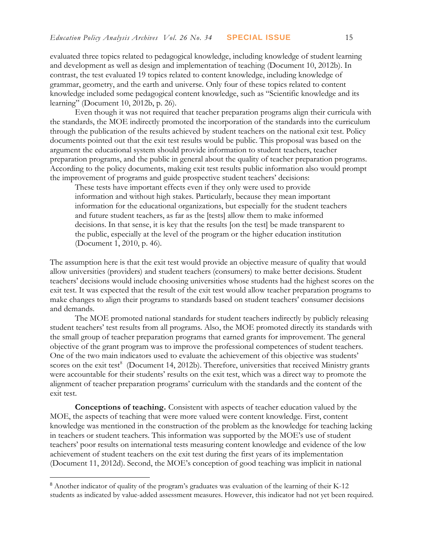evaluated three topics related to pedagogical knowledge, including knowledge of student learning and development as well as design and implementation of teaching (Document 10, 2012b). In contrast, the test evaluated 19 topics related to content knowledge, including knowledge of grammar, geometry, and the earth and universe. Only four of these topics related to content knowledge included some pedagogical content knowledge, such as "Scientific knowledge and its learning" (Document 10, 2012b, p. 26).

Even though it was not required that teacher preparation programs align their curricula with the standards, the MOE indirectly promoted the incorporation of the standards into the curriculum through the publication of the results achieved by student teachers on the national exit test. Policy documents pointed out that the exit test results would be public. This proposal was based on the argument the educational system should provide information to student teachers, teacher preparation programs, and the public in general about the quality of teacher preparation programs. According to the policy documents, making exit test results public information also would prompt the improvement of programs and guide prospective student teachers' decisions:

These tests have important effects even if they only were used to provide information and without high stakes. Particularly, because they mean important information for the educational organizations, but especially for the student teachers and future student teachers, as far as the [tests] allow them to make informed decisions. In that sense, it is key that the results [on the test] be made transparent to the public, especially at the level of the program or the higher education institution (Document 1, 2010, p. 46).

The assumption here is that the exit test would provide an objective measure of quality that would allow universities (providers) and student teachers (consumers) to make better decisions. Student teachers' decisions would include choosing universities whose students had the highest scores on the exit test. It was expected that the result of the exit test would allow teacher preparation programs to make changes to align their programs to standards based on student teachers' consumer decisions and demands.

The MOE promoted national standards for student teachers indirectly by publicly releasing student teachers' test results from all programs. Also, the MOE promoted directly its standards with the small group of teacher preparation programs that earned grants for improvement. The general objective of the grant program was to improve the professional competences of student teachers. One of the two main indicators used to evaluate the achievement of this objective was students' scores on the exit test<sup>8</sup> (Document 14, 2012b). Therefore, universities that received Ministry grants were accountable for their students' results on the exit test, which was a direct way to promote the alignment of teacher preparation programs' curriculum with the standards and the content of the exit test.

**Conceptions of teaching.** Consistent with aspects of teacher education valued by the MOE, the aspects of teaching that were more valued were content knowledge. First, content knowledge was mentioned in the construction of the problem as the knowledge for teaching lacking in teachers or student teachers. This information was supported by the MOE's use of student teachers' poor results on international tests measuring content knowledge and evidence of the low achievement of student teachers on the exit test during the first years of its implementation (Document 11, 2012d). Second, the MOE's conception of good teaching was implicit in national

<sup>8</sup> Another indicator of quality of the program's graduates was evaluation of the learning of their K-12 students as indicated by value-added assessment measures. However, this indicator had not yet been required.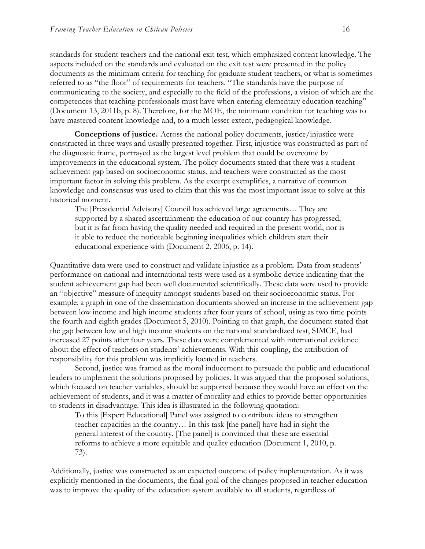standards for student teachers and the national exit test, which emphasized content knowledge. The aspects included on the standards and evaluated on the exit test were presented in the policy documents as the minimum criteria for teaching for graduate student teachers, or what is sometimes referred to as "the floor" of requirements for teachers. "The standards have the purpose of communicating to the society, and especially to the field of the professions, a vision of which are the competences that teaching professionals must have when entering elementary education teaching" (Document 13, 2011b, p. 8). Therefore, for the MOE, the minimum condition for teaching was to have mastered content knowledge and, to a much lesser extent, pedagogical knowledge.

**Conceptions of justice.** Across the national policy documents, justice/injustice were constructed in three ways and usually presented together. First, injustice was constructed as part of the diagnostic frame, portrayed as the largest level problem that could be overcome by improvements in the educational system. The policy documents stated that there was a student achievement gap based on socioeconomic status, and teachers were constructed as the most important factor in solving this problem. As the excerpt exemplifies, a narrative of common knowledge and consensus was used to claim that this was the most important issue to solve at this historical moment.

The [Presidential Advisory] Council has achieved large agreements… They are supported by a shared ascertainment: the education of our country has progressed, but it is far from having the quality needed and required in the present world, nor is it able to reduce the noticeable beginning inequalities which children start their educational experience with (Document 2, 2006, p. 14).

Quantitative data were used to construct and validate injustice as a problem. Data from students' performance on national and international tests were used as a symbolic device indicating that the student achievement gap had been well documented scientifically. These data were used to provide an "objective" measure of inequity amongst students based on their socioeconomic status. For example, a graph in one of the dissemination documents showed an increase in the achievement gap between low income and high income students after four years of school, using as two time points the fourth and eighth grades (Document 5, 2010). Pointing to that graph, the document stated that the gap between low and high income students on the national standardized test, SIMCE, had increased 27 points after four years. These data were complemented with international evidence about the effect of teachers on students' achievements. With this coupling, the attribution of responsibility for this problem was implicitly located in teachers.

Second, justice was framed as the moral inducement to persuade the public and educational leaders to implement the solutions proposed by policies. It was argued that the proposed solutions, which focused on teacher variables, should be supported because they would have an effect on the achievement of students, and it was a matter of morality and ethics to provide better opportunities to students in disadvantage. This idea is illustrated in the following quotation:

To this [Expert Educational] Panel was assigned to contribute ideas to strengthen teacher capacities in the country… In this task [the panel] have had in sight the general interest of the country. [The panel] is convinced that these are essential reforms to achieve a more equitable and quality education (Document 1, 2010, p. 73).

Additionally, justice was constructed as an expected outcome of policy implementation. As it was explicitly mentioned in the documents, the final goal of the changes proposed in teacher education was to improve the quality of the education system available to all students, regardless of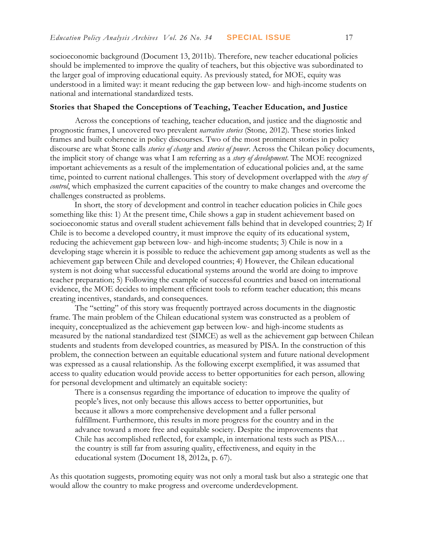socioeconomic background (Document 13, 2011b). Therefore, new teacher educational policies should be implemented to improve the quality of teachers, but this objective was subordinated to the larger goal of improving educational equity. As previously stated, for MOE, equity was understood in a limited way: it meant reducing the gap between low- and high-income students on national and international standardized tests.

#### **Stories that Shaped the Conceptions of Teaching, Teacher Education, and Justice**

Across the conceptions of teaching, teacher education, and justice and the diagnostic and prognostic frames, I uncovered two prevalent *narrative stories* (Stone*,* 2012)*.* These stories linked frames and built coherence in policy discourses. Two of the most prominent stories in policy discourse are what Stone calls *stories of change* and *stories of power*. Across the Chilean policy documents, the implicit story of change was what I am referring as a *story of development*. The MOE recognized important achievements as a result of the implementation of educational policies and, at the same time, pointed to current national challenges. This story of development overlapped with the *story of control*, which emphasized the current capacities of the country to make changes and overcome the challenges constructed as problems.

In short, the story of development and control in teacher education policies in Chile goes something like this: 1) At the present time, Chile shows a gap in student achievement based on socioeconomic status and overall student achievement falls behind that in developed countries; 2) If Chile is to become a developed country, it must improve the equity of its educational system, reducing the achievement gap between low- and high-income students; 3) Chile is now in a developing stage wherein it is possible to reduce the achievement gap among students as well as the achievement gap between Chile and developed countries; 4) However, the Chilean educational system is not doing what successful educational systems around the world are doing to improve teacher preparation; 5) Following the example of successful countries and based on international evidence, the MOE decides to implement efficient tools to reform teacher education; this means creating incentives, standards, and consequences.

The "setting" of this story was frequently portrayed across documents in the diagnostic frame. The main problem of the Chilean educational system was constructed as a problem of inequity, conceptualized as the achievement gap between low- and high-income students as measured by the national standardized test (SIMCE) as well as the achievement gap between Chilean students and students from developed countries, as measured by PISA. In the construction of this problem, the connection between an equitable educational system and future national development was expressed as a causal relationship. As the following excerpt exemplified, it was assumed that access to quality education would provide access to better opportunities for each person, allowing for personal development and ultimately an equitable society:

There is a consensus regarding the importance of education to improve the quality of people's lives, not only because this allows access to better opportunities, but because it allows a more comprehensive development and a fuller personal fulfillment. Furthermore, this results in more progress for the country and in the advance toward a more free and equitable society. Despite the improvements that Chile has accomplished reflected, for example, in international tests such as PISA… the country is still far from assuring quality, effectiveness, and equity in the educational system (Document 18, 2012a, p. 67).

As this quotation suggests, promoting equity was not only a moral task but also a strategic one that would allow the country to make progress and overcome underdevelopment.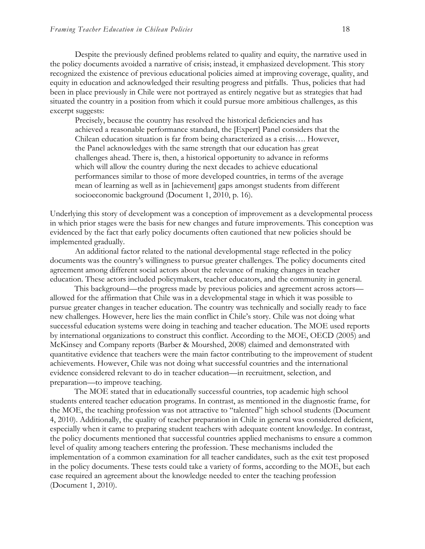Despite the previously defined problems related to quality and equity, the narrative used in the policy documents avoided a narrative of crisis; instead, it emphasized development. This story recognized the existence of previous educational policies aimed at improving coverage, quality, and equity in education and acknowledged their resulting progress and pitfalls. Thus, policies that had been in place previously in Chile were not portrayed as entirely negative but as strategies that had situated the country in a position from which it could pursue more ambitious challenges, as this excerpt suggests:

Precisely, because the country has resolved the historical deficiencies and has achieved a reasonable performance standard, the [Expert] Panel considers that the Chilean education situation is far from being characterized as a crisis…. However, the Panel acknowledges with the same strength that our education has great challenges ahead. There is, then, a historical opportunity to advance in reforms which will allow the country during the next decades to achieve educational performances similar to those of more developed countries, in terms of the average mean of learning as well as in [achievement] gaps amongst students from different socioeconomic background (Document 1, 2010, p. 16).

Underlying this story of development was a conception of improvement as a developmental process in which prior stages were the basis for new changes and future improvements. This conception was evidenced by the fact that early policy documents often cautioned that new policies should be implemented gradually.

An additional factor related to the national developmental stage reflected in the policy documents was the country's willingness to pursue greater challenges. The policy documents cited agreement among different social actors about the relevance of making changes in teacher education. These actors included policymakers, teacher educators, and the community in general.

This background—the progress made by previous policies and agreement across actors allowed for the affirmation that Chile was in a developmental stage in which it was possible to pursue greater changes in teacher education. The country was technically and socially ready to face new challenges. However, here lies the main conflict in Chile's story. Chile was not doing what successful education systems were doing in teaching and teacher education. The MOE used reports by international organizations to construct this conflict. According to the MOE, OECD (2005) and McKinsey and Company reports (Barber & Mourshed, 2008) claimed and demonstrated with quantitative evidence that teachers were the main factor contributing to the improvement of student achievements. However, Chile was not doing what successful countries and the international evidence considered relevant to do in teacher education—in recruitment, selection, and preparation—to improve teaching.

The MOE stated that in educationally successful countries, top academic high school students entered teacher education programs. In contrast, as mentioned in the diagnostic frame, for the MOE, the teaching profession was not attractive to "talented" high school students (Document 4, 2010). Additionally, the quality of teacher preparation in Chile in general was considered deficient, especially when it came to preparing student teachers with adequate content knowledge. In contrast, the policy documents mentioned that successful countries applied mechanisms to ensure a common level of quality among teachers entering the profession. These mechanisms included the implementation of a common examination for all teacher candidates, such as the exit test proposed in the policy documents. These tests could take a variety of forms, according to the MOE, but each case required an agreement about the knowledge needed to enter the teaching profession (Document 1, 2010).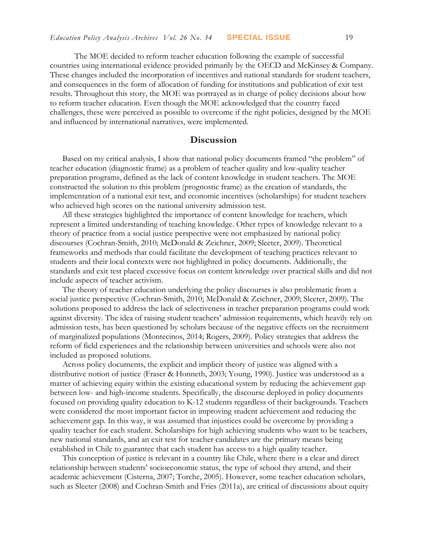The MOE decided to reform teacher education following the example of successful countries using international evidence provided primarily by the OECD and McKinsey & Company. These changes included the incorporation of incentives and national standards for student teachers, and consequences in the form of allocation of funding for institutions and publication of exit test results. Throughout this story, the MOE was portrayed as in charge of policy decisions about how to reform teacher education. Even though the MOE acknowledged that the country faced challenges, these were perceived as possible to overcome if the right policies, designed by the MOE and influenced by international narratives, were implemented.

### **Discussion**

Based on my critical analysis, I show that national policy documents framed "the problem" of teacher education (diagnostic frame) as a problem of teacher quality and low-quality teacher preparation programs, defined as the lack of content knowledge in student teachers. The MOE constructed the solution to this problem (prognostic frame) as the creation of standards, the implementation of a national exit test, and economic incentives (scholarships) for student teachers who achieved high scores on the national university admission test.

All these strategies highlighted the importance of content knowledge for teachers, which represent a limited understanding of teaching knowledge. Other types of knowledge relevant to a theory of practice from a social justice perspective were not emphasized by national policy discourses (Cochran-Smith, 2010; McDonald & Zeichner, 2009; Sleeter, 2009). Theoretical frameworks and methods that could facilitate the development of teaching practices relevant to students and their local contexts were not highlighted in policy documents. Additionally, the standards and exit test placed excessive focus on content knowledge over practical skills and did not include aspects of teacher activism.

The theory of teacher education underlying the policy discourses is also problematic from a social justice perspective (Cochran-Smith, 2010; McDonald & Zeichner, 2009; Sleeter, 2009). The solutions proposed to address the lack of selectiveness in teacher preparation programs could work against diversity. The idea of raising student teachers' admission requirements, which heavily rely on admission tests, has been questioned by scholars because of the negative effects on the recruitment of marginalized populations (Montecinos, 2014; Rogers, 2009). Policy strategies that address the reform of field experiences and the relationship between universities and schools were also not included as proposed solutions.

Across policy documents, the explicit and implicit theory of justice was aligned with a distributive notion of justice (Fraser & Honneth, 2003; Young, 1990). Justice was understood as a matter of achieving equity within the existing educational system by reducing the achievement gap between low- and high-income students. Specifically, the discourse deployed in policy documents focused on providing quality education to K-12 students regardless of their backgrounds. Teachers were considered the most important factor in improving student achievement and reducing the achievement gap. In this way, it was assumed that injustices could be overcome by providing a quality teacher for each student. Scholarships for high achieving students who want to be teachers, new national standards, and an exit test for teacher candidates are the primary means being established in Chile to guarantee that each student has access to a high quality teacher.

This conception of justice is relevant in a country like Chile, where there is a clear and direct relationship between students' socioeconomic status, the type of school they attend, and their academic achievement (Cisterna, 2007; Torche, 2005). However, some teacher education scholars, such as Sleeter (2008) and Cochran-Smith and Fries (2011a), are critical of discussions about equity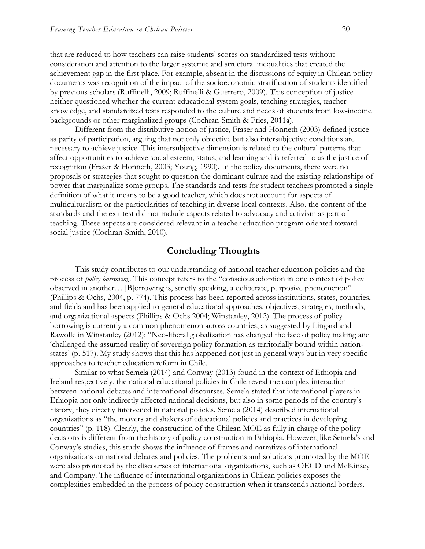that are reduced to how teachers can raise students' scores on standardized tests without consideration and attention to the larger systemic and structural inequalities that created the achievement gap in the first place. For example, absent in the discussions of equity in Chilean policy documents was recognition of the impact of the socioeconomic stratification of students identified by previous scholars (Ruffinelli, 2009; Ruffinelli & Guerrero, 2009). This conception of justice neither questioned whether the current educational system goals, teaching strategies, teacher knowledge, and standardized tests responded to the culture and needs of students from low-income backgrounds or other marginalized groups (Cochran-Smith & Fries, 2011a).

Different from the distributive notion of justice, Fraser and Honneth (2003) defined justice as parity of participation, arguing that not only objective but also intersubjective conditions are necessary to achieve justice. This intersubjective dimension is related to the cultural patterns that affect opportunities to achieve social esteem, status, and learning and is referred to as the justice of recognition (Fraser & Honneth, 2003; Young, 1990). In the policy documents, there were no proposals or strategies that sought to question the dominant culture and the existing relationships of power that marginalize some groups. The standards and tests for student teachers promoted a single definition of what it means to be a good teacher, which does not account for aspects of multiculturalism or the particularities of teaching in diverse local contexts. Also, the content of the standards and the exit test did not include aspects related to advocacy and activism as part of teaching. These aspects are considered relevant in a teacher education program oriented toward social justice (Cochran-Smith, 2010).

### **Concluding Thoughts**

This study contributes to our understanding of national teacher education policies and the process of *policy borrowing*. This concept refers to the "conscious adoption in one context of policy observed in another… [B]orrowing is, strictly speaking, a deliberate, purposive phenomenon" (Phillips & Ochs, 2004, p. 774). This process has been reported across institutions, states, countries, and fields and has been applied to general educational approaches, objectives, strategies, methods, and organizational aspects (Phillips & Ochs 2004; Winstanley, 2012). The process of policy borrowing is currently a common phenomenon across countries, as suggested by Lingard and Rawolle in Winstanley (2012): "Neo-liberal globalization has changed the face of policy making and 'challenged the assumed reality of sovereign policy formation as territorially bound within nationstates' (p. 517). My study shows that this has happened not just in general ways but in very specific approaches to teacher education reform in Chile.

Similar to what Semela (2014) and Conway (2013) found in the context of Ethiopia and Ireland respectively, the national educational policies in Chile reveal the complex interaction between national debates and international discourses. Semela stated that international players in Ethiopia not only indirectly affected national decisions, but also in some periods of the country's history, they directly intervened in national policies. Semela (2014) described international organizations as "the movers and shakers of educational policies and practices in developing countries" (p. 118). Clearly, the construction of the Chilean MOE as fully in charge of the policy decisions is different from the history of policy construction in Ethiopia. However, like Semela's and Conway's studies, this study shows the influence of frames and narratives of international organizations on national debates and policies. The problems and solutions promoted by the MOE were also promoted by the discourses of international organizations, such as OECD and McKinsey and Company. The influence of international organizations in Chilean policies exposes the complexities embedded in the process of policy construction when it transcends national borders.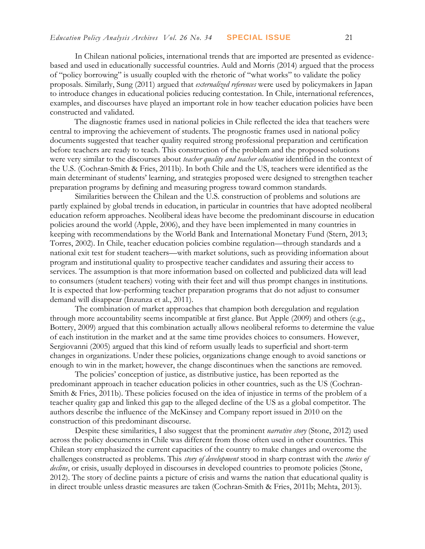In Chilean national policies, international trends that are imported are presented as evidencebased and used in educationally successful countries. Auld and Morris (2014) argued that the process of "policy borrowing" is usually coupled with the rhetoric of "what works" to validate the policy proposals. Similarly, Sung (2011) argued that *externalized references* were used by policymakers in Japan to introduce changes in educational policies reducing contestation. In Chile, international references, examples, and discourses have played an important role in how teacher education policies have been constructed and validated.

The diagnostic frames used in national policies in Chile reflected the idea that teachers were central to improving the achievement of students. The prognostic frames used in national policy documents suggested that teacher quality required strong professional preparation and certification before teachers are ready to teach. This construction of the problem and the proposed solutions were very similar to the discourses about *teacher quality and teacher education* identified in the context of the U.S. (Cochran-Smith & Fries, 2011b). In both Chile and the US, teachers were identified as the main determinant of students' learning, and strategies proposed were designed to strengthen teacher preparation programs by defining and measuring progress toward common standards.

Similarities between the Chilean and the U.S. construction of problems and solutions are partly explained by global trends in education, in particular in countries that have adopted neoliberal education reform approaches. Neoliberal ideas have become the predominant discourse in education policies around the world (Apple, 2006), and they have been implemented in many countries in keeping with recommendations by the World Bank and International Monetary Fund (Stern, 2013; Torres, 2002). In Chile, teacher education policies combine regulation—through standards and a national exit test for student teachers—with market solutions, such as providing information about program and institutional quality to prospective teacher candidates and assuring their access to services. The assumption is that more information based on collected and publicized data will lead to consumers (student teachers) voting with their feet and will thus prompt changes in institutions. It is expected that low-performing teacher preparation programs that do not adjust to consumer demand will disappear (Inzunza et al., 2011).

The combination of market approaches that champion both deregulation and regulation through more accountability seems incompatible at first glance. But Apple (2009) and others (e.g., Bottery, 2009) argued that this combination actually allows neoliberal reforms to determine the value of each institution in the market and at the same time provides choices to consumers. However, Sergiovanni (2005) argued that this kind of reform usually leads to superficial and short-term changes in organizations. Under these policies, organizations change enough to avoid sanctions or enough to win in the market; however, the change discontinues when the sanctions are removed.

The policies' conception of justice, as distributive justice, has been reported as the predominant approach in teacher education policies in other countries, such as the US (Cochran-Smith & Fries, 2011b). These policies focused on the idea of injustice in terms of the problem of a teacher quality gap and linked this gap to the alleged decline of the US as a global competitor. The authors describe the influence of the McKinsey and Company report issued in 2010 on the construction of this predominant discourse.

Despite these similarities, I also suggest that the prominent *narrative story* (Stone, 2012) used across the policy documents in Chile was different from those often used in other countries. This Chilean story emphasized the current capacities of the country to make changes and overcome the challenges constructed as problems. This *story of development* stood in sharp contrast with the *stories of*  decline, or crisis, usually deployed in discourses in developed countries to promote policies (Stone, 2012). The story of decline paints a picture of crisis and warns the nation that educational quality is in direct trouble unless drastic measures are taken (Cochran-Smith & Fries, 2011b; Mehta, 2013).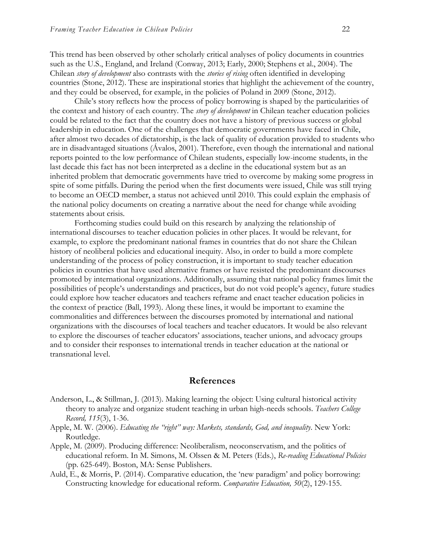This trend has been observed by other scholarly critical analyses of policy documents in countries such as the U.S., England, and Ireland (Conway, 2013; Early, 2000; Stephens et al., 2004). The Chilean *story of development* also contrasts with the *stories of rising* often identified in developing countries (Stone, 2012). These are inspirational stories that highlight the achievement of the country, and they could be observed, for example, in the policies of Poland in 2009 (Stone, 2012).

Chile's story reflects how the process of policy borrowing is shaped by the particularities of the context and history of each country. The *story of development* in Chilean teacher education policies could be related to the fact that the country does not have a history of previous success or global leadership in education. One of the challenges that democratic governments have faced in Chile, after almost two decades of dictatorship, is the lack of quality of education provided to students who are in disadvantaged situations (Ávalos, 2001). Therefore, even though the international and national reports pointed to the low performance of Chilean students, especially low-income students, in the last decade this fact has not been interpreted as a decline in the educational system but as an inherited problem that democratic governments have tried to overcome by making some progress in spite of some pitfalls. During the period when the first documents were issued, Chile was still trying to become an OECD member, a status not achieved until 2010. This could explain the emphasis of the national policy documents on creating a narrative about the need for change while avoiding statements about crisis.

Forthcoming studies could build on this research by analyzing the relationship of international discourses to teacher education policies in other places. It would be relevant, for example, to explore the predominant national frames in countries that do not share the Chilean history of neoliberal policies and educational inequity. Also, in order to build a more complete understanding of the process of policy construction, it is important to study teacher education policies in countries that have used alternative frames or have resisted the predominant discourses promoted by international organizations. Additionally, assuming that national policy frames limit the possibilities of people's understandings and practices, but do not void people's agency, future studies could explore how teacher educators and teachers reframe and enact teacher education policies in the context of practice (Ball, 1993). Along these lines, it would be important to examine the commonalities and differences between the discourses promoted by international and national organizations with the discourses of local teachers and teacher educators. It would be also relevant to explore the discourses of teacher educators' associations, teacher unions, and advocacy groups and to consider their responses to international trends in teacher education at the national or transnational level.

#### **References**

- Anderson, L., & Stillman, J. (2013). Making learning the object: Using cultural historical activity theory to analyze and organize student teaching in urban high-needs schools. *Teachers College Record, 115*(3), 1-36.
- Apple, M. W. (2006). *Educating the "right" way: Markets, standards, God, and inequality*. New York: Routledge.
- Apple, M. (2009). Producing difference: Neoliberalism, neoconservatism, and the politics of educational reform. In M. Simons, M. Olssen & M. Peters (Eds.), *Re-reading Educational Policies* (pp. 625-649). Boston, MA: Sense Publishers.
- Auld, E., & Morris, P. (2014). Comparative education, the 'new paradigm' and policy borrowing: Constructing knowledge for educational reform. *Comparative Education, 50*(2), 129-155.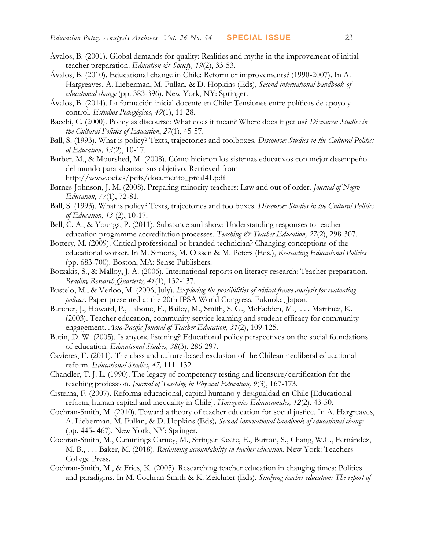- Ávalos, B. (2001). Global demands for quality: Realities and myths in the improvement of initial teacher preparation. *Education & Society*, 19(2), 33-53.
- Ávalos, B. (2010). Educational change in Chile: Reform or improvements? (1990-2007). In A. Hargreaves, A. Lieberman, M. Fullan, & D. Hopkins (Eds)*, Second international handbook of educational change* (pp. 383-396). New York, NY: Springer.
- Ávalos, B. (2014). La formación inicial docente en Chile: Tensiones entre políticas de apoyo y control. *Estudios Pedagógicos, 49*(1), 11-28.
- Bacchi, C. (2000). Policy as discourse: What does it mean? Where does it get us? *Discourse: Studies in the Cultural Politics of Education*, *27*(1), 45-57.
- Ball, S. (1993). What is policy? Texts, trajectories and toolboxes. *Discourse: Studies in the Cultural Politics of Education, 13*(2), 10-17.
- Barber, M., & Mourshed, M. (2008). Cómo hicieron los sistemas educativos con mejor desempeño del mundo para alcanzar sus objetivo. Retrieved from http://www.oei.es/pdfs/documento\_preal41.pdf
- Barnes-Johnson, J. M. (2008). Preparing minority teachers: Law and out of order. *Journal of Negro Education*, *77*(1), 72-81.
- Ball, S. (1993). What is policy? Texts, trajectories and toolboxes. *Discourse: Studies in the Cultural Politics of Education, 13* (2), 10-17.
- Bell, C. A., & Youngs, P. (2011). Substance and show: Understanding responses to teacher education programme accreditation processes. *Teaching & Teacher Education*, 27(2), 298-307.
- Bottery, M. (2009). Critical professional or branded technician? Changing conceptions of the educational worker. In M. Simons, M. Olssen & M. Peters (Eds.), *Re-reading Educational Policies* (pp. 683-700). Boston, MA: Sense Publishers.
- Botzakis, S., & Malloy, J. A. (2006). International reports on literacy research: Teacher preparation. *Reading Research Quarterly, 41*(1), 132-137.
- Bustelo, M., & Verloo, M. (2006, July). *Exploring the possibilities of critical frame analysis for evaluating policies.* Paper presented at the 20th IPSA World Congress, Fukuoka, Japon.
- Butcher, J., Howard, P., Labone, E., Bailey, M., Smith, S. G., McFadden, M., . . . Martinez, K. (2003). Teacher education, community service learning and student efficacy for community engagement. *Asia-Pacific Journal of Teacher Education, 31*(2), 109-125.
- Butin, D. W. (2005). Is anyone listening? Educational policy perspectives on the social foundations of education. *Educational Studies, 38*(3), 286-297.
- Cavieres, E. (2011). The class and culture-based exclusion of the Chilean neoliberal educational reform. *Educational Studies, 47,* 111–132.
- Chandler, T. J. L. (1990). The legacy of competency testing and licensure/certification for the teaching profession. *Journal of Teaching in Physical Education, 9*(3), 167-173.
- Cisterna, F. (2007). Reforma educacional, capital humano y desigualdad en Chile [Educational reform, human capital and inequality in Chile]. *Horizontes Educacionales, 12*(2), 43-50.
- Cochran-Smith, M. (2010). Toward a theory of teacher education for social justice. In A. Hargreaves, A. Lieberman, M. Fullan, & D. Hopkins (Eds)*, Second international handbook of educational change* (pp. 445- 467). New York, NY: Springer.
- Cochran-Smith, M., Cummings Carney, M., Stringer Keefe, E., Burton, S., Chang, W.C., Fernández, M. B., . . . Baker, M. (2018). *Reclaiming accountability in teacher education.* New York: Teachers College Press.
- Cochran-Smith, M., & Fries, K. (2005). Researching teacher education in changing times: Politics and paradigms. In M. Cochran-Smith & K. Zeichner (Eds), *Studying teacher education: The report of*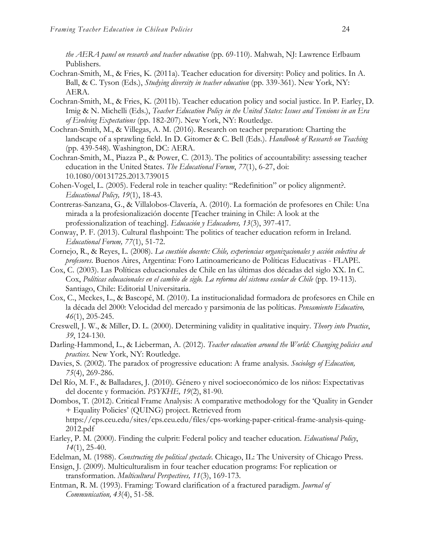*the AERA panel on research and teacher education* (pp. 69-110). Mahwah, NJ: Lawrence Erlbaum Publishers.

- Cochran-Smith, M., & Fries, K. (2011a). Teacher education for diversity: Policy and politics. In A. Ball, & C. Tyson (Eds.), *Studying diversity in teacher education* (pp. 339-361). New York, NY: AERA.
- Cochran-Smith, M., & Fries, K. (2011b). Teacher education policy and social justice. In P. Earley, D. Imig & N. Michelli (Eds.), *Teacher Education Policy in the United States: Issues and Tensions in an Era of Evolving Expectations* (pp. 182-207). New York, NY: Routledge.
- Cochran-Smith, M., & Villegas, A. M. (2016). Research on teacher preparation: Charting the landscape of a sprawling field. In D. Gitomer & C. Bell (Eds.). *Handbook of Research on Teaching*  (pp. 439-548)*.* Washington, DC: AERA.
- Cochran-Smith, M., Piazza P., & Power, C. (2013). The politics of accountability: assessing teacher education in the United States. *The Educational Forum*, *77*(1), 6-27, doi: 10.1080/00131725.2013.739015
- Cohen-Vogel, L. (2005). Federal role in teacher quality: "Redefinition" or policy alignment?. *Educational Policy, 19*(1), 18-43.
- Contreras-Sanzana, G., & Villalobos-Clavería, A. (2010). La formación de profesores en Chile: Una mirada a la profesionalización docente [Teacher training in Chile: A look at the professionalization of teaching]. *Educación y Educadores, 13*(3), 397-417.
- Conway, P. F. (2013). Cultural flashpoint: The politics of teacher education reform in Ireland. *Educational Forum, 77*(1), 51-72.
- Cornejo, R., & Reyes, L. (2008). *La cuestión docente: Chile, experiencias organizacionales y acción colectiva de profesores*. Buenos Aires, Argentina: Foro Latinoamericano de Políticas Educativas - FLAPE.
- Cox, C. (2003). Las Políticas educacionales de Chile en las últimas dos décadas del siglo XX. In C. Cox, *Políticas educacionales en el cambio de siglo. La reforma del sistema escolar de Chile* (pp. 19-113). Santiago, Chile: Editorial Universitaria.
- Cox, C., Meckes, L., & Bascopé, M. (2010). La institucionalidad formadora de profesores en Chile en la década del 2000: Velocidad del mercado y parsimonia de las políticas. *Pensamiento Educativo, 46*(1), 205-245.
- Creswell, J. W., & Miller, D. L. (2000). Determining validity in qualitative inquiry. *Theory into Practice*, *39*, 124-130.
- Darling-Hammond, L., & Lieberman, A. (2012). *Teacher education around the World: Changing policies and practices.* New York, NY: Routledge.
- Davies, S. (2002). The paradox of progressive education: A frame analysis. *Sociology of Education, 75*(4), 269-286.
- Del Río, M. F., & Balladares, J. (2010). Género y nivel socioeconómico de los niños: Expectativas del docente y formación. *PSYKHE, 19*(2), 81-90.
- Dombos, T. (2012). Critical Frame Analysis: A comparative methodology for the 'Quality in Gender + Equality Policies' (QUING) project. Retrieved from https://cps.ceu.edu/sites/cps.ceu.edu/files/cps-working-paper-critical-frame-analysis-quing-
- 2012.pdf Earley, P. M. (2000). Finding the culprit: Federal policy and teacher education. *Educational Policy*, *14*(1), 25-40.
- Edelman, M. (1988). *Constructing the political spectacle.* Chicago, IL: The University of Chicago Press.
- Ensign, J. (2009). Multiculturalism in four teacher education programs: For replication or transformation. *Multicultural Perspectives, 11*(3), 169-173.
- Entman, R. M. (1993). Framing: Toward clarification of a fractured paradigm. *Journal of Communication, 43*(4), 51-58.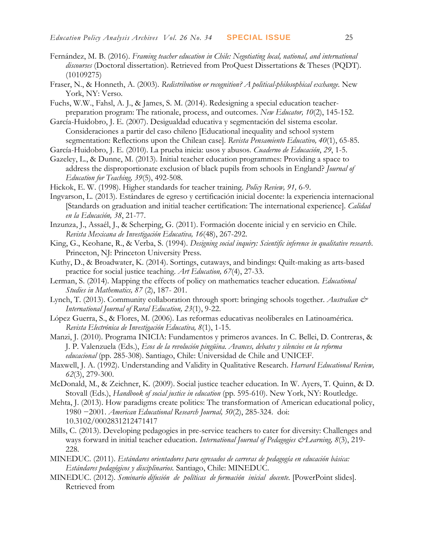- Fernández, M. B. (2016). *Framing teacher education in Chile: Negotiating local, national, and international discourses* (Doctoral dissertation). Retrieved from ProQuest Dissertations & Theses (PQDT). (10109275)
- Fraser, N., & Honneth, A. (2003). *Redistribution or recognition? A political-philosophical exchange.* New York, NY: Verso.
- Fuchs, W.W., Fahsl, A. J., & James, S. M. (2014). Redesigning a special education teacherpreparation program: The rationale, process, and outcomes. *New Educator, 10*(2), 145-152.
- García-Huidobro, J. E. (2007). Desigualdad educativa y segmentación del sistema escolar. Consideraciones a partir del caso chileno [Educational inequality and school system segmentation: Reflections upon the Chilean case]. *Revista Pensamiento Educativo, 40*(1), 65-85.
- García-Huidobro, J. E. (2010). La prueba inicia: usos y abusos. *Cuaderno de Educación*, *29*, 1-5.
- Gazeley, L., & Dunne, M. (2013). Initial teacher education programmes: Providing a space to address the disproportionate exclusion of black pupils from schools in England? *Journal of Education for Teaching, 39*(5), 492-508.
- Hickok, E. W. (1998). Higher standards for teacher training. *Policy Review, 91,* 6-9.
- Ingvarson, L. (2013). Estándares de egreso y certificación inicial docente: la experiencia internacional [Standards on graduation and initial teacher certification: The international experience]. *Calidad en la Educación, 38*, 21-77.
- Inzunza, J., Assaél, J., & Scherping, G. (2011). Formación docente inicial y en servicio en Chile. *Revista Mexicana de Investigación Educativa, 16*(48), 267-292.
- King, G., Keohane, R., & Verba, S. (1994). *Designing social inquiry: Scientific inference in qualitative research*. Princeton, NJ: Princeton University Press.
- Kuthy, D., & Broadwater, K. (2014). Sortings, cutaways, and bindings: Quilt-making as arts-based practice for social justice teaching. *Art Education, 67*(4), 27-33.
- Lerman, S. (2014). Mapping the effects of policy on mathematics teacher education. *Educational Studies in Mathematics, 87* (2), 187- 201.
- Lynch, T. (2013). Community collaboration through sport: bringing schools together. Australian & *International Journal of Rural Education, 23*(1), 9-22.
- López Guerra, S., & Flores, M. (2006). Las reformas educativas neoliberales en Latinoamérica. *Revista Electrónica de Investigación Educativa, 8*(1), 1-15.
- Manzi, J. (2010). Programa INICIA: Fundamentos y primeros avances. In C. Bellei, D. Contreras, & J. P. Valenzuela (Eds.), *Ecos de la revolución pingüina. Avances, debates y silencios en la reforma educacional* (pp. 285-308). Santiago, Chile: Universidad de Chile and UNICEF.
- Maxwell, J. A. (1992). Understanding and Validity in Qualitative Research. *Harvard Educational Review, 62*(3), 279-300.
- McDonald, M., & Zeichner, K. (2009). Social justice teacher education. In W. Ayers, T. Quinn, & D. Stovall (Eds.), *Handbook of social justice in education* (pp. 595-610). New York, NY: Routledge.
- Mehta, J. (2013). How paradigms create politics: The transformation of American educational policy, 1980 −2001. *American Educational Research Journal, 50*(2), 285-324. doi: 10.3102/0002831212471417
- Mills, C. (2013). Developing pedagogies in pre-service teachers to cater for diversity: Challenges and ways forward in initial teacher education. *International Journal of Pedagogies & Learning*, 8(3), 219-228.
- MINEDUC. (2011). *Estándares orientadores para egresados de carreras de pedagogía en educación básica: Estándares pedagógicos y disciplinarios.* Santiago, Chile: MINEDUC.
- MINEDUC. (2012). *Seminario difusión de políticas de formación inicial docente.* [PowerPoint slides]. Retrieved from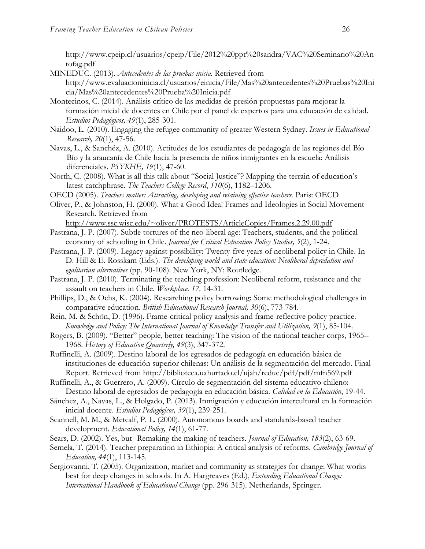http://www.cpeip.cl/usuarios/cpeip/File/2012%20ppt%20sandra/VAC%20Seminario%20An tofag.pdf

- MINEDUC. (2013). *Antecedentes de las pruebas inicia.* Retrieved from http://www.evaluacioninicia.cl/usuarios/einicia/File/Mas%20antecedentes%20Pruebas%20Ini cia/Mas%20antecedentes%20Prueba%20Inicia.pdf
- Montecinos, C. (2014). Análisis crítico de las medidas de presión propuestas para mejorar la formación inicial de docentes en Chile por el panel de expertos para una educación de calidad. *Estudios Pedagógicos, 49*(1), 285-301.
- Naidoo, L. (2010). Engaging the refugee community of greater Western Sydney. *Issues in Educational Research, 20*(1), 47-56.
- Navas, L., & Sanchéz, A. (2010). Actitudes de los estudiantes de pedagogía de las regiones del Bío Bío y la araucanía de Chile hacia la presencia de niños inmigrantes en la escuela: Análisis diferenciales. *PSYKHE, 19*(1), 47-60.
- North, C. (2008). What is all this talk about "Social Justice"? Mapping the terrain of education's latest catchphrase. *The Teachers College Record*, *110*(6), 1182–1206.
- OECD (2005). *Teachers matter: Attracting, developing and retaining effective teachers.* Paris: OECD
- Oliver, P., & Johnston, H. (2000). What a Good Idea! Frames and Ideologies in Social Movement Research. Retrieved from

<http://www.ssc.wisc.edu/~oliver/PROTESTS/ArticleCopies/Frames.2.29.00.pdf>

- Pastrana, J. P. (2007). Subtle tortures of the neo-liberal age: Teachers, students, and the political economy of schooling in Chile. *Journal for Critical Education Policy Studies, 5*(2), 1-24.
- Pastrana, J. P. (2009). Legacy against possibility: Twenty-five years of neoliberal policy in Chile. In D. Hill & E. Rosskam (Eds.). *The developing world and state education: Neoliberal depredation and egalitarian alternatives* (pp. 90-108). New York, NY: Routledge.
- Pastrana, J. P. (2010). Terminating the teaching profession: Neoliberal reform, resistance and the assault on teachers in Chile. *Workplace, 17,* 14-31.
- Phillips, D., & Ochs, K. (2004). Researching policy borrowing: Some methodological challenges in comparative education. *British Educational Research Journal, 30*(6), 773-784.
- Rein, M. & Schön, D. (1996). Frame-critical policy analysis and frame-reflective policy practice. *Knowledge and Policy: The International Journal of Knowledge Transfer and Utilization, 9*(1), 85-104.
- Rogers, B. (2009). "Better" people, better teaching: The vision of the national teacher corps, 1965– 1968. *History of Education Quarterly, 49*(3), 347-372.
- Ruffinelli, A. (2009). Destino laboral de los egresados de pedagogía en educación básica de instituciones de educación superior chilenas: Un análisis de la segmentación del mercado. Final Report. Retrieved from http://biblioteca.uahurtado.cl/ujah/reduc/pdf/pdf/mfn569.pdf
- Ruffinelli, A., & Guerrero, A. (2009). Círculo de segmentación del sistema educativo chileno: Destino laboral de egresados de pedagogía en educación básica. *Calidad en la Educación*, 19-44.
- Sánchez, A., Navas, L., & Holgado, P. (2013). Inmigración y educación intercultural en la formación inicial docente. *Estudios Pedagógicos, 39*(1), 239-251.
- Scannell, M. M., & Metcalf, P. L. (2000). Autonomous boards and standards-based teacher development. *Educational Policy, 14*(1), 61-77.
- Sears, D. (2002). Yes, but--Remaking the making of teachers. *Journal of Education, 183*(2), 63-69.
- Semela, T. (2014). Teacher preparation in Ethiopia: A critical analysis of reforms. *Cambridge Journal of Education, 44*(1), 113-145.
- Sergiovanni, T. (2005). Organization, market and community as strategies for change: What works best for deep changes in schools. In A. Hargreaves (Ed.), *Extending Educational Change: International Handbook of Educational Change* (pp. 296-315). Netherlands, Springer.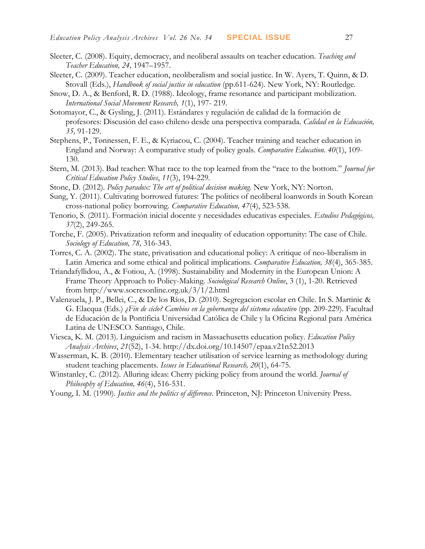- Sleeter, C. (2008). Equity, democracy, and neoliberal assaults on teacher education. *Teaching and Teacher Education, 24,* 1947–1957.
- Sleeter, C. (2009). Teacher education, neoliberalism and social justice. In W. Ayers, T. Quinn, & D. Stovall (Eds.), *Handbook of social justice in education* (pp.611-624). New York, NY: Routledge.
- Snow, D. A., & Benford, R. D. (1988). Ideology, frame resonance and participant mobilization. *International Social Movement Research, 1*(1), 197- 219.
- Sotomayor, C., & Gysling, J. (2011). Estándares y regulación de calidad de la formación de profesores: Discusión del caso chileno desde una perspectiva comparada. *Calidad en la Educación, 35,* 91-129.
- Stephens, P., Tønnessen, F. E., & Kyriacou, C. (2004). Teacher training and teacher education in England and Norway: A comparative study of policy goals. *Comparative Education. 40*(1), 109- 130.
- Stern, M. (2013). Bad teacher: What race to the top learned from the "race to the bottom." *Journal for Critical Education Policy Studies*, *11*(3), 194-229*.*
- Stone, D. (2012). *Policy paradox: The art of political decision making.* New York, NY: Norton.
- Sung, Y. (2011). Cultivating borrowed futures: The politics of neoliberal loanwords in South Korean cross-national policy borrowing. *Comparative Education, 47*(4), 523-538.
- Tenorio, S. (2011). Formación inicial docente y necesidades educativas especiales. *Estudios Pedagógicos, 37*(2), 249-265.
- Torche, F. (2005). Privatization reform and inequality of education opportunity: The case of Chile. *Sociology of Education, 78,* 316-343.
- Torres, C. A. (2002). The state, privatisation and educational policy: A critique of neo-liberalism in Latin America and some ethical and political implications. *Comparative Education, 38*(4), 365-385.
- Triandafyllidou, A., & Fotiou, A. (1998). Sustainability and Modernity in the European Union: A Frame Theory Approach to Policy-Making. *Sociological Research Online*, 3 (1), 1-20. Retrieved from<http://www.socresonline.org.uk/3/1/2.html>
- Valenzuela, J. P., Bellei, C., & De los Ríos, D. (2010). Segregacion escolar en Chile. In S. Martinic & G. Elacqua (Eds.) *¿Fin de ciclo? Cambios en la gobernanza del sistema educativo* (pp. 209-229)*.* Facultad de Educación de la Pontificia Universidad Católica de Chile y la Oficina Regional para América Latina de UNESCO. Santiago, Chile.
- Viesca, K. M. (2013). Linguicism and racism in Massachusetts education policy. *Education Policy Analysis Archives*, *21*(52), 1-34. http://dx.doi.org/10.14507/epaa.v21n52.2013
- Wasserman, K. B. (2010). Elementary teacher utilisation of service learning as methodology during student teaching placements. *Issues in Educational Research, 20*(1), 64-75.
- Winstanley, C. (2012). Alluring ideas: Cherry picking policy from around the world. *Journal of Philosophy of Education, 46*(4), 516-531.
- Young, I. M. (1990). *Justice and the politics of difference*. Princeton, NJ: Princeton University Press.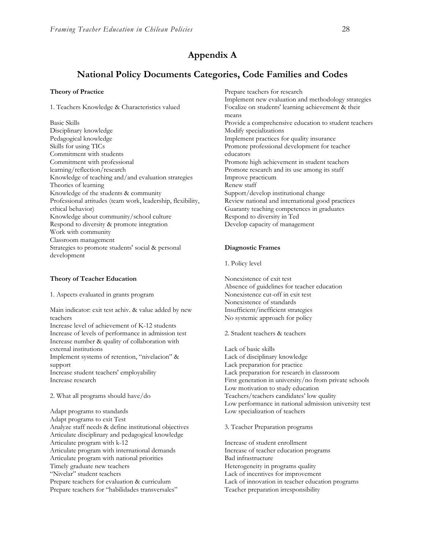### **Appendix A**

### **National Policy Documents Categories, Code Families and Codes**

#### **Theory of Practice**

1. Teachers Knowledge & Characteristics valued

Basic Skills Disciplinary knowledge Pedagogical knowledge Skills for using TICs Commitment with students Commitment with professional learning/reflection/research Knowledge of teaching and/and evaluation strategies Theories of learning Knowledge of the students & community Professional attitudes (team work, leadership, flexibility, ethical behavior) Knowledge about community/school culture Respond to diversity & promote integration Work with community Classroom management Strategies to promote students' social & personal development

#### **Theory of Teacher Education**

1. Aspects evaluated in grants program

Main indicator: exit test achiv. & value added by new teachers

Increase level of achievement of K-12 students Increase of levels of performance in admission test Increase number & quality of collaboration with external institutions

Implement systems of retention, "nivelacion" & support

Increase student teachers' employability Increase research

2. What all programs should have/do

Adapt programs to standards Adapt programs to exit Test Analyze staff needs & define institutional objectives Articulate disciplinary and pedagogical knowledge Articulate program with k-12 Articulate program with international demands Articulate program with national priorities Timely graduate new teachers "Nivelar" student teachers Prepare teachers for evaluation & curriculum Prepare teachers for "habilidades transversales"

Prepare teachers for research Implement new evaluation and methodology strategies Focalize on students' learning achievement & their means Provide a comprehensive education to student teachers Modify specializations Implement practices for quality insurance Promote professional development for teacher educators Promote high achievement in student teachers Promote research and its use among its staff Improve practicum Renew staff Support/develop institutional change Review national and international good practices Guaranty teaching competences in graduates Respond to diversity in Ted Develop capacity of management

#### **Diagnostic Frames**

1. Policy level

Nonexistence of exit test Absence of guidelines for teacher education Nonexistence cut-off in exit test Nonexistence of standards Insufficient/inefficient strategies No systemic approach for policy

2. Student teachers & teachers

Lack of basic skills Lack of disciplinary knowledge Lack preparation for practice Lack preparation for research in classroom First generation in university/no from private schools Low motivation to study education Teachers/teachers candidates' low quality Low performance in national admission university test Low specialization of teachers

3. Teacher Preparation programs

Increase of student enrollment Increase of teacher education programs Bad infrastructure Heterogeneity in programs quality Lack of incentives for improvement Lack of innovation in teacher education programs Teacher preparation irresponsibility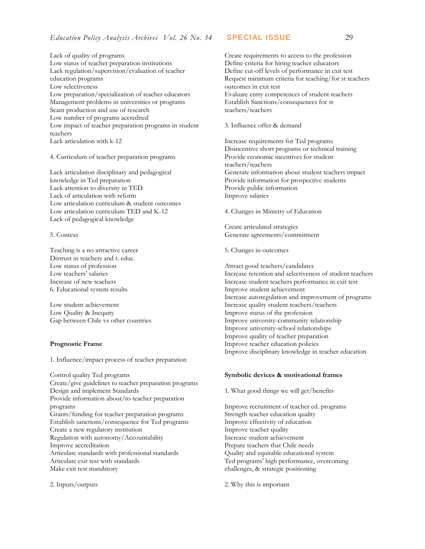Lack of quality of programs Low status of teacher preparation institutions Lack regulation/supervision/evaluation of teacher education programs Low selectiveness Low preparation/specialization of teacher educators Management problems in universities or programs Scant production and use of research Low number of programs accredited Low impact of teacher preparation programs in student teachers Lack articulation with k-12

4. Curriculum of teacher preparation programs

Lack articulation disciplinary and pedagogical knowledge in Ted preparation Lack attention to diversity in TED Lack of articulation with reform Low articulation curriculum & student outcomes Low articulation curriculum TED and K-12 Lack of pedagogical knowledge

#### 5. Context

Teaching is a no attractive career Distrust in teachers and t. educ. Low status of profession Low teachers' salaries Increase of new teachers 6. Educational system results

Low student achievement Low Quality & Inequity Gap between Chile vs other countries

#### **Prognostic Frame**

1. Influence/impact process of teacher preparation

Control quality Ted programs Create/give guidelines to teacher preparation programs Design and implement Standards Provide information about/to teacher preparation programs Grants/funding for teacher preparation programs Establish sanctions/consequence for Ted programs Create a new regulatory institution Regulation with autonomy/Accountability Improve accreditation Articulate standards with professional standards Articulate exit test with standards Make exit test mandatory

2. Inputs/outputs

Create requirements to access to the profession Define criteria for hiring teacher educators Define cut-off levels of performance in exit test Request minimum criteria for teaching/for st teachers outcomes in exit test Evaluate entry competences of student teachers Establish Sanctions/consequences for st teachers/teachers

3. Influence offer & demand

Increase requirements for Ted programs Disincentive short programs or technical training Provide economic incentives for student teachers/teachers Generate information about student teachers impact Provide information for prospective students Provide public information Improve salaries

4. Changes in Ministry of Education

Create articulated strategies Generate agreements/commitment

5. Changes in outcomes

Attract good teachers/candidates Increase retention and selectiveness of student teachers Increase student teachers performance in exit test Improve student achievement Increase autoregulation and improvement of programs Increase quality student teachers/teachers Improve status of the profession Improve university-community relationship Improve university-school relationships Improve quality of teacher preparation Improve teacher education policies Improve disciplinary knowledge in teacher education

#### **Symbolic devices & motivational frames**

1. What good things we will get/benefits

Improve recruitment of teacher ed. programs Strength teacher education quality Improve effectivity of education Improve teacher quality Increase student achievement Prepare teachers that Chile needs Quality and equitable educational system Ted programs' high performance, overcoming challenges, & strategic positioning

2. Why this is important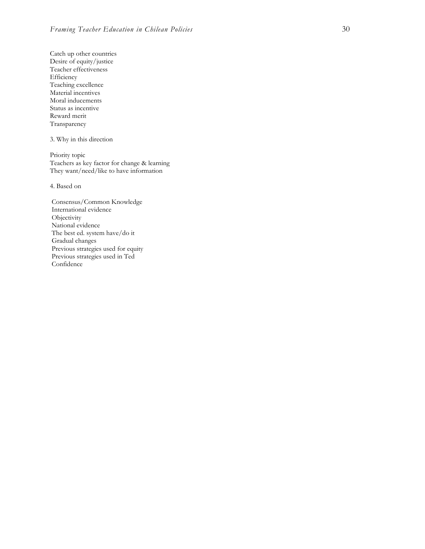Catch up other countries Desire of equity/justice Teacher effectiveness Efficiency Teaching excellence Material incentives Moral inducements Status as incentive Reward merit Transparency

3. Why in this direction

Priority topic Teachers as key factor for change & learning They want/need/like to have information

4. Based on

Consensus/Common Knowledge International evidence **Objectivity** National evidence The best ed. system have/do it Gradual changes Previous strategies used for equity Previous strategies used in Ted Confidence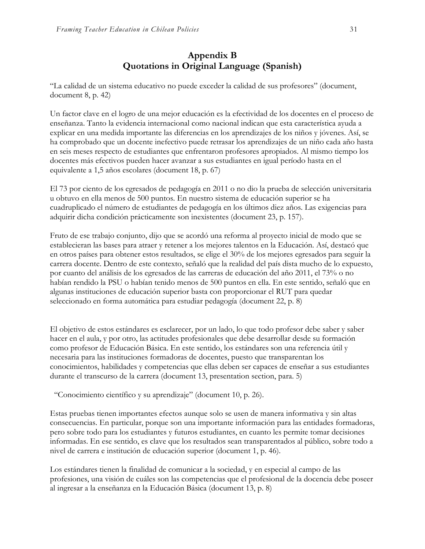## **Appendix B Quotations in Original Language (Spanish)**

"La calidad de un sistema educativo no puede exceder la calidad de sus profesores" (document, document 8, p. 42)

Un factor clave en el logro de una mejor educación es la efectividad de los docentes en el proceso de enseñanza. Tanto la evidencia internacional como nacional indican que esta característica ayuda a explicar en una medida importante las diferencias en los aprendizajes de los niños y jóvenes. Así, se ha comprobado que un docente inefectivo puede retrasar los aprendizajes de un niño cada año hasta en seis meses respecto de estudiantes que enfrentaron profesores apropiados. Al mismo tiempo los docentes más efectivos pueden hacer avanzar a sus estudiantes en igual período hasta en el equivalente a 1,5 años escolares (document 18, p. 67)

El 73 por ciento de los egresados de pedagogía en 2011 o no dio la prueba de selección universitaria u obtuvo en ella menos de 500 puntos. En nuestro sistema de educación superior se ha cuadruplicado el número de estudiantes de pedagogía en los últimos diez años. Las exigencias para adquirir dicha condición prácticamente son inexistentes (document 23, p. 157).

Fruto de ese trabajo conjunto, dijo que se acordó una reforma al proyecto inicial de modo que se establecieran las bases para atraer y retener a los mejores talentos en la Educación. Así, destacó que en otros países para obtener estos resultados, se elige el 30% de los mejores egresados para seguir la carrera docente. Dentro de este contexto, señaló que la realidad del país dista mucho de lo expuesto, por cuanto del análisis de los egresados de las carreras de educación del año 2011, el 73% o no habían rendido la PSU o habían tenido menos de 500 puntos en ella. En este sentido, señaló que en algunas instituciones de educación superior basta con proporcionar el RUT para quedar seleccionado en forma automática para estudiar pedagogía (document 22, p. 8)

El objetivo de estos estándares es esclarecer, por un lado, lo que todo profesor debe saber y saber hacer en el aula, y por otro, las actitudes profesionales que debe desarrollar desde su formación como profesor de Educación Básica. En este sentido, los estándares son una referencia útil y necesaria para las instituciones formadoras de docentes, puesto que transparentan los conocimientos, habilidades y competencias que ellas deben ser capaces de enseñar a sus estudiantes durante el transcurso de la carrera (document 13, presentation section, para. 5)

"Conocimiento científico y su aprendizaje" (document 10, p. 26).

Estas pruebas tienen importantes efectos aunque solo se usen de manera informativa y sin altas consecuencias. En particular, porque son una importante información para las entidades formadoras, pero sobre todo para los estudiantes y futuros estudiantes, en cuanto les permite tomar decisiones informadas. En ese sentido, es clave que los resultados sean transparentados al público, sobre todo a nivel de carrera e institución de educación superior (document 1, p. 46).

Los estándares tienen la finalidad de comunicar a la sociedad, y en especial al campo de las profesiones, una visión de cuáles son las competencias que el profesional de la docencia debe poseer al ingresar a la enseñanza en la Educación Básica (document 13, p. 8)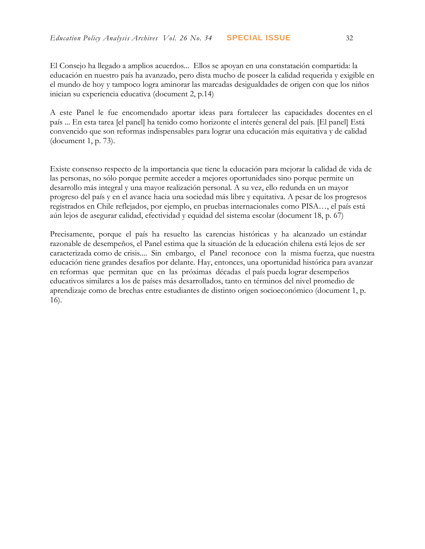El Consejo ha llegado a amplios acuerdos... Ellos se apoyan en una constatación compartida: la educación en nuestro país ha avanzado, pero dista mucho de poseer la calidad requerida y exigible en el mundo de hoy y tampoco logra aminorar las marcadas desigualdades de origen con que los niños inician su experiencia educativa (document 2, p.14)

A este Panel le fue encomendado aportar ideas para fortalecer las capacidades docentes en el país ... En esta tarea [el panel] ha tenido como horizonte el interés general del país. [El panel] Está convencido que son reformas indispensables para lograr una educación más equitativa y de calidad (document 1, p. 73).

Existe consenso respecto de la importancia que tiene la educación para mejorar la calidad de vida de las personas, no sólo porque permite acceder a mejores oportunidades sino porque permite un desarrollo más integral y una mayor realización personal. A su vez, ello redunda en un mayor progreso del país y en el avance hacia una sociedad más libre y equitativa. A pesar de los progresos registrados en Chile reflejados, por ejemplo, en pruebas internacionales como PISA…, el país está aún lejos de asegurar calidad, efectividad y equidad del sistema escolar (document 18, p. 67)

Precisamente, porque el país ha resuelto las carencias históricas y ha alcanzado un estándar razonable de desempeños, el Panel estima que la situación de la educación chilena está lejos de ser caracterizada como de crisis.... Sin embargo, el Panel reconoce con la misma fuerza, que nuestra educación tiene grandes desafíos por delante. Hay, entonces, una oportunidad histórica para avanzar en reformas que permitan que en las próximas décadas el país pueda lograr desempeños educativos similares a los de países más desarrollados, tanto en términos del nivel promedio de aprendizaje como de brechas entre estudiantes de distinto origen socioeconómico (document 1, p. 16).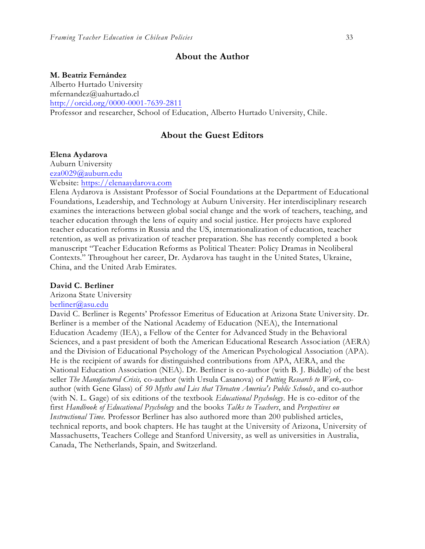#### **About the Author**

#### **M. Beatriz Fernández**

Alberto Hurtado University mfernandez@uahurtado.cl <http://orcid.org/0000-0001-7639-2811> Professor and researcher, School of Education, Alberto Hurtado University, Chile.

### **About the Guest Editors**

#### **Elena Aydarova**

Auburn University [eza0029@auburn.edu](mailto:eza0029@auburn.edu) Website: [https://elenaaydarova.com](https://elenaaydarova.com/)

Elena Aydarova is Assistant Professor of Social Foundations at the Department of Educational Foundations, Leadership, and Technology at Auburn University. Her interdisciplinary research examines the interactions between global social change and the work of teachers, teaching, and teacher education through the lens of equity and social justice. Her projects have explored teacher education reforms in Russia and the US, internationalization of education, teacher retention, as well as privatization of teacher preparation. She has recently completed a book manuscript "Teacher Education Reforms as Political Theater: Policy Dramas in Neoliberal Contexts." Throughout her career, Dr. Aydarova has taught in the United States, Ukraine, China, and the United Arab Emirates.

#### **David C. Berliner**

Arizona State University

#### [berliner@asu.edu](mailto:berliner@asu.edu)

David C. Berliner is Regents' Professor Emeritus of Education at Arizona State University. Dr. Berliner is a member of the National Academy of Education (NEA), the International Education Academy (IEA), a Fellow of the Center for Advanced Study in the Behavioral Sciences, and a past president of both the American Educational Research Association (AERA) and the Division of Educational Psychology of the American Psychological Association (APA). He is the recipient of awards for distinguished contributions from APA, AERA, and the National Education Association (NEA). Dr. Berliner is co-author (with B. J. Biddle) of the best seller *The Manufactured Crisis,* co-author (with Ursula Casanova) of *Putting Research to Work*, coauthor (with Gene Glass) of *50 Myths and Lies that Threaten America's Public Schools*, and co-author (with N. L. Gage) of six editions of the textbook *Educational Psychology*. He is co-editor of the first *Handbook of Educational Psychology* and the books *Talks to Teachers*, and *Perspectives on Instructional Time.* Professor Berliner has also authored more than 200 published articles, technical reports, and book chapters. He has taught at the University of Arizona, University of Massachusetts, Teachers College and Stanford University, as well as universities in Australia, Canada, The Netherlands, Spain, and Switzerland.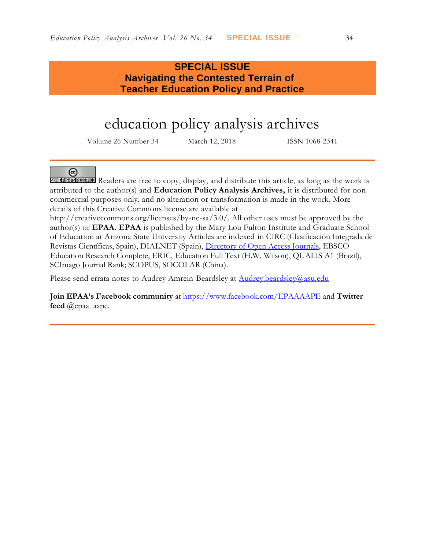### **SPECIAL ISSUE Navigating the Contested Terrain of Teacher Education Policy and Practice**

## education policy analysis archives

Volume 26 Number 34 March 12, 2018 ISSN 1068-2341

### @

SOME RIGHTS RESERVED Readers are free to copy, display, and distribute this article, as long as the work is attributed to the author(s) and **Education Policy Analysis Archives,** it is distributed for noncommercial purposes only, and no alteration or transformation is made in the work. More details of this Creative Commons license are available at

http://creativecommons.org/licenses/by-nc-sa/3.0/. All other uses must be approved by the author(s) or **EPAA**. **EPAA** is published by the Mary Lou Fulton Institute and Graduate School of Education at Arizona State University Articles are indexed in CIRC (Clasificación Integrada de Revistas Científicas, Spain), DIALNET (Spain), [Directory of Open Access Journals,](http://www.doaj.org/) EBSCO Education Research Complete, ERIC, Education Full Text (H.W. Wilson), QUALIS A1 (Brazil), SCImago Journal Rank; SCOPUS, SOCOLAR (China).

Please send errata notes to Audrey Amrein-Beardsley at [Audrey.beardsley@asu.edu](mailto:Audrey.beardsley@asu.edu)

**Join EPAA's Facebook community** at<https://www.facebook.com/EPAAAAPE> and **Twitter feed** @epaa\_aape.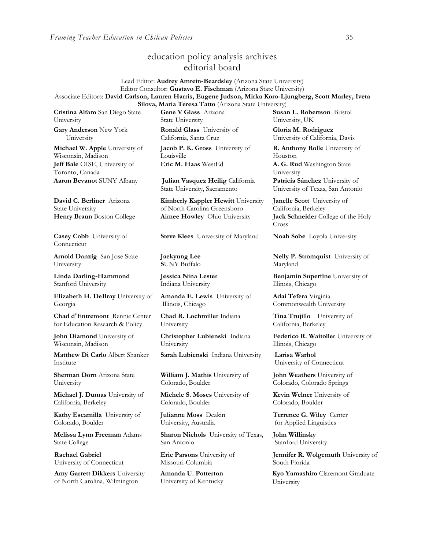### education policy analysis archives editorial board

Lead Editor: **Audrey Amrein-Beardsley** (Arizona State University) Editor Consultor: **Gustavo E. Fischman** (Arizona State University) Associate Editors: **David Carlson, Lauren Harris, Eugene Judson, Mirka Koro-Ljungberg, Scott Marley, Iveta Silova, Maria Teresa Tatto** (Arizona State University)

**Cristina Alfaro** San Diego State University

**Gary Anderson** New York University

**Michael W. Apple** University of Wisconsin, Madison **Jeff Bale** OISE, University of Toronto, Canada

**David C. Berliner** Arizona State University

**Casey Cobb** University of **Connecticut** 

**Arnold Danzig** San Jose State University

**Linda Darling-Hammond**  Stanford University

**Elizabeth H. DeBray** University of Georgia

**Chad d'Entremont** Rennie Center for Education Research & Policy

**John Diamond** University of Wisconsin, Madison

**Matthew Di Carlo** Albert Shanker Institute

**Sherman Dorn** Arizona State University

**Michael J. Dumas** University of California, Berkeley

**Kathy Escamilla** University of Colorado, Boulder

**Melissa Lynn Freeman** Adams State College

**Rachael Gabriel** University of Connecticut

**Amy Garrett Dikkers** University of North Carolina, Wilmington

**Gene V Glass** Arizona State University

**Ronald Glass** University of California, Santa Cruz

**Jacob P. K. Gross** University of Louisville **Eric M. Haas** WestEd **A. G. Rud** Washington State

**Aaron Bevanot** SUNY Albany **Julian Vasquez Heilig** California State University, Sacramento

**Kimberly Kappler Hewitt** University of North Carolina Greensboro **Henry Braun** Boston College **Aimee Howley** Ohio University **Jack Schneider** College of the Holy

**Steve Klees** University of Maryland **Noah Sobe** Loyola University

**Jaekyung Lee S**UNY Buffalo

**Jessica Nina Lester** Indiana University

**Amanda E. Lewis** University of Illinois, Chicago

**Chad R. Lochmiller** Indiana University

**Christopher Lubienski** Indiana University

**Sarah Lubienski** Indiana University **Larisa Warhol**

**William J. Mathis** University of Colorado, Boulder

**Michele S. Moses** University of Colorado, Boulder

**Julianne Moss** Deakin University, Australia

**Sharon Nichols** University of Texas, San Antonio

**Eric Parsons** University of Missouri-Columbia

**Amanda U. Potterton** University of Kentucky **Susan L. Robertson** Bristol University, UK

**Gloria M. Rodriguez** University of California, Davis

**R. Anthony Rolle** University of Houston

University

**Patricia Sánchez** University of University of Texas, San Antonio

**Janelle Scott** University of California, Berkeley Cross

**Nelly P. Stromquist** University of Maryland

**Benjamin Superfine** University of Illinois, Chicago

**Adai Tefera** Virginia Commonwealth University

**Tina Trujillo** University of California, Berkeley

**Federico R. Waitoller** University of Illinois, Chicago

University of Connecticut

**John Weathers** University of Colorado, Colorado Springs

**Kevin Welner** University of Colorado, Boulder

**Terrence G. Wiley** Center for Applied Linguistics

**John Willinsky**  Stanford University

**Jennifer R. Wolgemuth** University of South Florida

**Kyo Yamashiro** Claremont Graduate University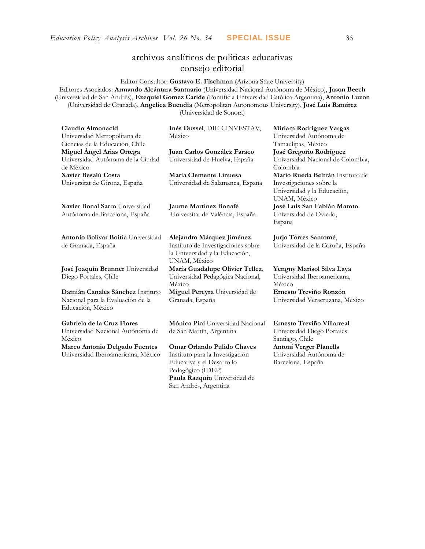### archivos analíticos de políticas educativas consejo editorial

Editor Consultor: **Gustavo E. Fischman** (Arizona State University) Editores Asociados: **Armando Alcántara Santuario** (Universidad Nacional Autónoma de México), **Jason Beech** (Universidad de San Andrés), **Ezequiel Gomez Caride** (Pontificia Universidad Católica Argentina), **Antonio Luzon** (Universidad de Granada), **Angelica Buendia** (Metropolitan Autonomous University), **José Luis Ramírez** (Universidad de Sonora)

| Claudio Almonacid                                         | Inés Dussel, DIE-CINVESTAV,                                                          | Miriam Rodríguez Vargas                                                 |  |
|-----------------------------------------------------------|--------------------------------------------------------------------------------------|-------------------------------------------------------------------------|--|
| Universidad Metropolitana de                              | México                                                                               | Universidad Autónoma de                                                 |  |
| Ciencias de la Educación, Chile                           |                                                                                      | Tamaulipas, México                                                      |  |
| Miguel Angel Arias Ortega                                 | Juan Carlos González Faraco                                                          | José Gregorio Rodríguez                                                 |  |
| Universidad Autónoma de la Ciudad<br>de México            | Universidad de Huelva, España                                                        | Universidad Nacional de Colombia,<br>Colombia                           |  |
| Xavier Besalú Costa                                       | María Clemente Linuesa                                                               | Mario Rueda Beltrán Instituto de                                        |  |
| Universitat de Girona, España                             | Universidad de Salamanca, España                                                     | Investigaciones sobre la<br>Universidad y la Educación,<br>UNAM, México |  |
| Xavier Bonal Sarro Universidad                            | <b>Jaume Martínez Bonafé</b>                                                         | José Luis San Fabián Maroto                                             |  |
| Autónoma de Barcelona, España                             | Universitat de València, España                                                      | Universidad de Oviedo,<br>España                                        |  |
| Antonio Bolívar Boitia Universidad                        | Alejandro Márquez Jiménez                                                            | Jurjo Torres Santomé,                                                   |  |
| de Granada, España                                        | Instituto de Investigaciones sobre<br>la Universidad y la Educación,<br>UNAM, México | Universidad de la Coruña, España                                        |  |
| José Joaquín Brunner Universidad<br>Diego Portales, Chile | María Guadalupe Olivier Tellez,<br>Universidad Pedagógica Nacional,<br>México        | Yengny Marisol Silva Laya<br>Universidad Iberoamericana,<br>México      |  |
| Damián Canales Sánchez Instituto                          | Miguel Pereyra Universidad de                                                        | Ernesto Treviño Ronzón                                                  |  |
| Nacional para la Evaluación de la<br>Educación, México    | Granada, España                                                                      | Universidad Veracruzana, México                                         |  |
| Gabriela de la Cruz Flores                                | Mónica Pini Universidad Nacional                                                     | Ernesto Treviño Villarreal                                              |  |
| Universidad Nacional Autónoma de<br>México                | de San Martín, Argentina                                                             | Universidad Diego Portales<br>Santiago, Chile                           |  |
| Marco Antonio Delgado Fuentes                             | Omar Orlando Pulido Chaves                                                           | <b>Antoni Verger Planells</b>                                           |  |
| Universidad Iberoamericana, México                        | Instituto para la Investigación                                                      | Universidad Autónoma de                                                 |  |
|                                                           | Educativa y el Desarrollo                                                            | Barcelona, España                                                       |  |
|                                                           | Pedagógico (IDEP)                                                                    |                                                                         |  |
|                                                           | Paula Razquin Universidad de                                                         |                                                                         |  |
|                                                           | San Andrés, Argentina                                                                |                                                                         |  |